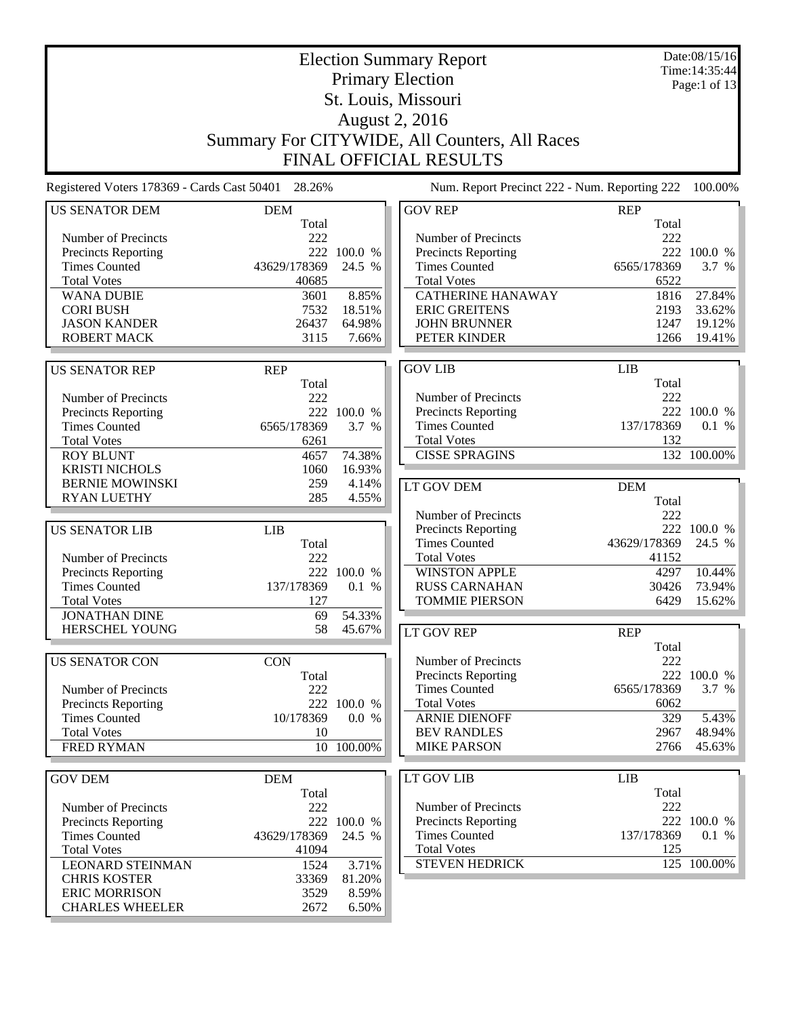Election Summary Report Primary Election St. Louis, Missouri August 2, 2016 Summary For CITYWIDE, All Counters, All Races FINAL OFFICIAL RESULTS Date:08/15/16 Time:14:35:44 Page:1 of 13 Registered Voters 178369 - Cards Cast 50401 28.26% Num. Report Precinct 222 - Num. Reporting 222 100.00% US SENATOR DEM DEM Total Number of Precincts<br>
Precincts Reporting<br>
222 100.0 % Precincts Reporting 222 100.0 %<br>Times Counted 43629/178369 24.5 % Times Counted 43629/178369 Total Votes 40685 WANA DUBIE 3601 8.85% CORI BUSH 7532 18.51%<br>
JASON KANDER 26437 64.98% JASON KANDER 26437 64.98%<br>ROBERT MACK 3115 7.66% ROBERT MACK US SENATOR REP REP Total Number of Precincts<br>
Precincts Reporting<br>
222 100.0 % Precincts Reporting Times Counted 6565/178369 3.7 % Total Votes 6261 ROY BLUNT 4657 74.38%<br>
KRISTI NICHOLS 1060 16.93% KRISTI NICHOLS 1060 BERNIE MOWINSKI 259 4.14% RYAN LUETHY 285 4.55% US SENATOR LIB LIB Total<br>222 Number of Precincts Precincts Reporting 222 100.0 %<br>Times Counted 137/178369 0.1 % Times Counted 137/178369 0.1 % Total Votes 127 JONATHAN DINE 69 54.33% HERSCHEL YOUNG 58 45.67% US SENATOR CON CON Total Number of Precincts 222 Precincts Reporting 222 100.0 % Times Counted 10/178369 0.0 % Total Votes 10 FRED RYMAN 10 100.00% GOV DEM DEM Total Number of Precincts 222 Precincts Reporting 222 100.0 %<br>Times Counted 43629/178369 24.5 % Times Counted Total Votes 41094 LEONARD STEINMAN 1524 3.71% CHRIS KOSTER 33369 81.20% GOV REP REP Total Number of Precincts<br>
Precincts Reporting<br>
222 100.0 % Precincts Reporting Times Counted 6565/178369 3.7 % Total Votes 6522 CATHERINE HANAWAY 1816 27.84% ERIC GREITENS 2193 33.62% **JOHN BRUNNER** 1247 19.12%<br>
PETER KINDER 1266 19.41% PETER KINDER GOV LIB LIB Total<br>222 Number of Precincts Precincts Reporting 222 100.0 %<br>Times Counted 137/178369 0.1 % Times Counted Total Votes 132 CISSE SPRAGINS 132 100.00% LT GOV DEM DEM Total Number of Precincts 222 Precincts Reporting 222 100.0 % Times Counted  $43629/178369$  24.5 %<br>Total Votes 41152 **Total Votes** WINSTON APPLE 4297 10.44%<br>RUSS CARNAHAN 30426 73.94% RUSS CARNAHAN 30426 73.94%<br>TOMMIE PIERSON 6429 15.62% TOMMIE PIERSON LT GOV REP REP Total Number of Precincts 222 Precincts Reporting 222 100.0 % Times Counted 6565/178369 3.7 % Total Votes 6062 ARNIE DIENOFF 329 5.43% BEV RANDLES 2967 48.94% MIKE PARSON 2766 45.63% LT GOV LIB LIB Total Number of Precincts 222 Precincts Reporting 222 100.0 % Times Counted 137/178369 0.1 % Total Votes 125 STEVEN HEDRICK 125 100.00%

ERIC MORRISON 3529 8.59% CHARLES WHEELER 2672 6.50%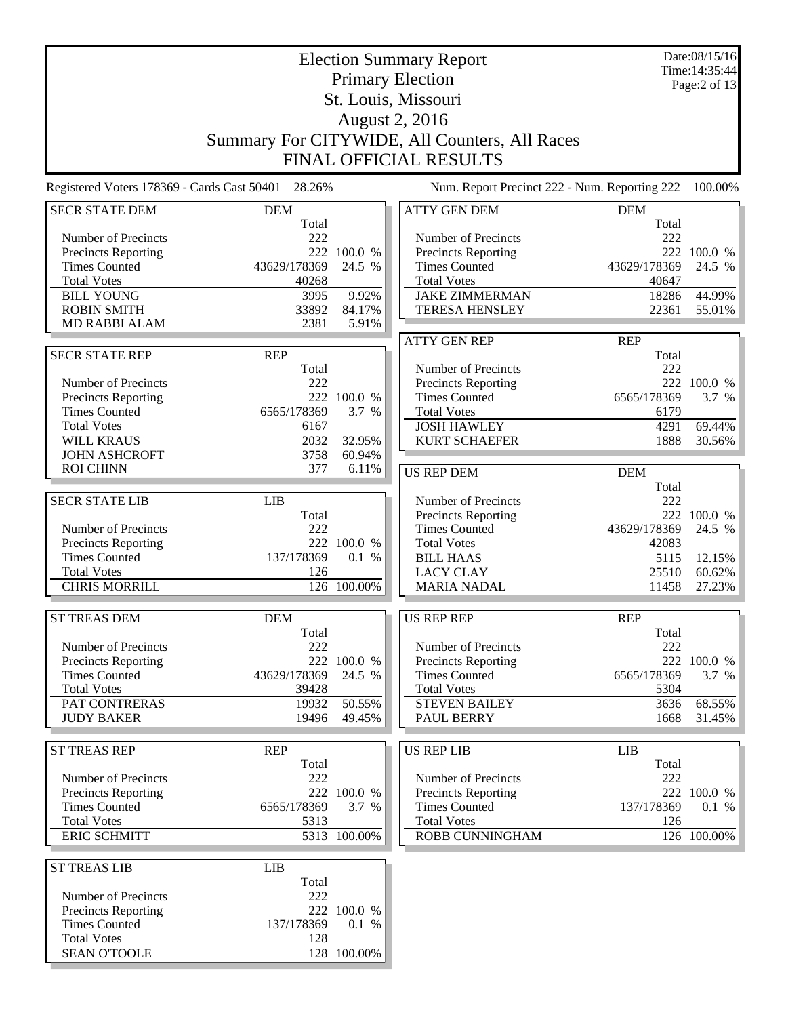|                                                    | <b>Election Summary Report</b> |              |                                               |                       |                                |  |
|----------------------------------------------------|--------------------------------|--------------|-----------------------------------------------|-----------------------|--------------------------------|--|
|                                                    |                                |              | <b>Primary Election</b>                       |                       | Time: 14:35:44<br>Page:2 of 13 |  |
|                                                    |                                |              | St. Louis, Missouri                           |                       |                                |  |
|                                                    |                                |              | <b>August 2, 2016</b>                         |                       |                                |  |
|                                                    |                                |              | Summary For CITYWIDE, All Counters, All Races |                       |                                |  |
|                                                    |                                |              |                                               |                       |                                |  |
|                                                    |                                |              | FINAL OFFICIAL RESULTS                        |                       |                                |  |
| Registered Voters 178369 - Cards Cast 50401 28.26% |                                |              | Num. Report Precinct 222 - Num. Reporting 222 |                       | 100.00%                        |  |
| <b>SECR STATE DEM</b>                              | <b>DEM</b>                     |              | <b>ATTY GEN DEM</b>                           | <b>DEM</b>            |                                |  |
|                                                    | Total                          |              |                                               | Total                 |                                |  |
| Number of Precincts                                | 222                            |              | Number of Precincts                           | 222                   |                                |  |
| Precincts Reporting                                | 222                            | 100.0 %      | Precincts Reporting                           | 222                   | 100.0 %                        |  |
| <b>Times Counted</b><br><b>Total Votes</b>         | 43629/178369<br>40268          | 24.5 %       | <b>Times Counted</b><br><b>Total Votes</b>    | 43629/178369<br>40647 | 24.5 %                         |  |
| <b>BILL YOUNG</b>                                  | 3995                           | 9.92%        | <b>JAKE ZIMMERMAN</b>                         | 18286                 | 44.99%                         |  |
| <b>ROBIN SMITH</b>                                 | 33892                          | 84.17%       | <b>TERESA HENSLEY</b>                         | 22361                 | 55.01%                         |  |
| <b>MD RABBI ALAM</b>                               | 2381                           | 5.91%        |                                               |                       |                                |  |
|                                                    |                                |              | <b>ATTY GEN REP</b>                           | <b>REP</b>            |                                |  |
| <b>SECR STATE REP</b>                              | <b>REP</b>                     |              |                                               | Total                 |                                |  |
|                                                    | Total                          |              | Number of Precincts                           | 222                   |                                |  |
| Number of Precincts                                | 222                            |              | Precincts Reporting                           |                       | 222 100.0 %                    |  |
| Precincts Reporting                                |                                | 222 100.0 %  | <b>Times Counted</b>                          | 6565/178369           | 3.7 %                          |  |
| <b>Times Counted</b>                               | 6565/178369                    | 3.7 %        | <b>Total Votes</b>                            | 6179                  |                                |  |
| <b>Total Votes</b>                                 | 6167                           |              | <b>JOSH HAWLEY</b>                            | 4291                  | 69.44%                         |  |
| <b>WILL KRAUS</b>                                  | 2032                           | 32.95%       | <b>KURT SCHAEFER</b>                          | 1888                  | 30.56%                         |  |
| <b>JOHN ASHCROFT</b>                               | 3758                           | 60.94%       |                                               |                       |                                |  |
| <b>ROI CHINN</b>                                   | 377                            | 6.11%        | <b>US REP DEM</b>                             | <b>DEM</b>            |                                |  |
|                                                    |                                |              |                                               | Total                 |                                |  |
| <b>SECR STATE LIB</b>                              | <b>LIB</b>                     |              | Number of Precincts                           | 222                   |                                |  |
|                                                    | Total                          |              | <b>Precincts Reporting</b>                    | 222                   | 100.0 %                        |  |
| Number of Precincts                                | 222                            | 222 100.0 %  | <b>Times Counted</b>                          | 43629/178369          | 24.5 %                         |  |
| Precincts Reporting<br><b>Times Counted</b>        | 137/178369                     | 0.1 %        | <b>Total Votes</b><br><b>BILL HAAS</b>        | 42083<br>5115         | 12.15%                         |  |
| <b>Total Votes</b>                                 | 126                            |              | <b>LACY CLAY</b>                              | 25510                 | 60.62%                         |  |
| <b>CHRIS MORRILL</b>                               |                                | 126 100.00%  | <b>MARIA NADAL</b>                            | 11458                 | 27.23%                         |  |
|                                                    |                                |              |                                               |                       |                                |  |
| <b>ST TREAS DEM</b>                                | <b>DEM</b>                     |              | <b>US REP REP</b>                             | <b>REP</b>            |                                |  |
|                                                    | Total                          |              |                                               | Total                 |                                |  |
| Number of Precincts                                | 222                            |              | Number of Precincts                           | 222                   |                                |  |
| Precincts Reporting                                |                                | 222 100.0 %  | <b>Precincts Reporting</b>                    |                       | 222 100.0 %                    |  |
| <b>Times Counted</b>                               | 43629/178369                   | 24.5 %       | <b>Times Counted</b>                          | 6565/178369           | 3.7 %                          |  |
| <b>Total Votes</b>                                 | 39428                          |              | <b>Total Votes</b>                            | 5304                  |                                |  |
| PAT CONTRERAS                                      | 19932                          | 50.55%       | <b>STEVEN BAILEY</b>                          | 3636                  | 68.55%                         |  |
| <b>JUDY BAKER</b>                                  | 19496                          | 49.45%       | PAUL BERRY                                    | 1668                  | 31.45%                         |  |
|                                                    |                                |              |                                               |                       |                                |  |
| <b>ST TREAS REP</b>                                | <b>REP</b><br>Total            |              | <b>US REP LIB</b>                             | <b>LIB</b><br>Total   |                                |  |
| Number of Precincts                                | 222                            |              | Number of Precincts                           | 222                   |                                |  |
| Precincts Reporting                                |                                | 222 100.0 %  | Precincts Reporting                           |                       | 222 100.0 %                    |  |
| <b>Times Counted</b>                               | 6565/178369                    | 3.7 %        | <b>Times Counted</b>                          | 137/178369            | 0.1 %                          |  |
| <b>Total Votes</b>                                 | 5313                           |              | <b>Total Votes</b>                            | 126                   |                                |  |
| <b>ERIC SCHMITT</b>                                |                                | 5313 100.00% | ROBB CUNNINGHAM                               |                       | 126 100.00%                    |  |
|                                                    |                                |              |                                               |                       |                                |  |
| <b>ST TREAS LIB</b>                                | <b>LIB</b>                     |              |                                               |                       |                                |  |
|                                                    | Total                          |              |                                               |                       |                                |  |
| Number of Precincts                                | 222                            |              |                                               |                       |                                |  |
| Precincts Reporting                                |                                | 222 100.0 %  |                                               |                       |                                |  |
| <b>Times Counted</b>                               | 137/178369                     | 0.1 %        |                                               |                       |                                |  |
| <b>Total Votes</b>                                 | 128                            |              |                                               |                       |                                |  |
| <b>SEAN O'TOOLE</b>                                |                                | 128 100.00%  |                                               |                       |                                |  |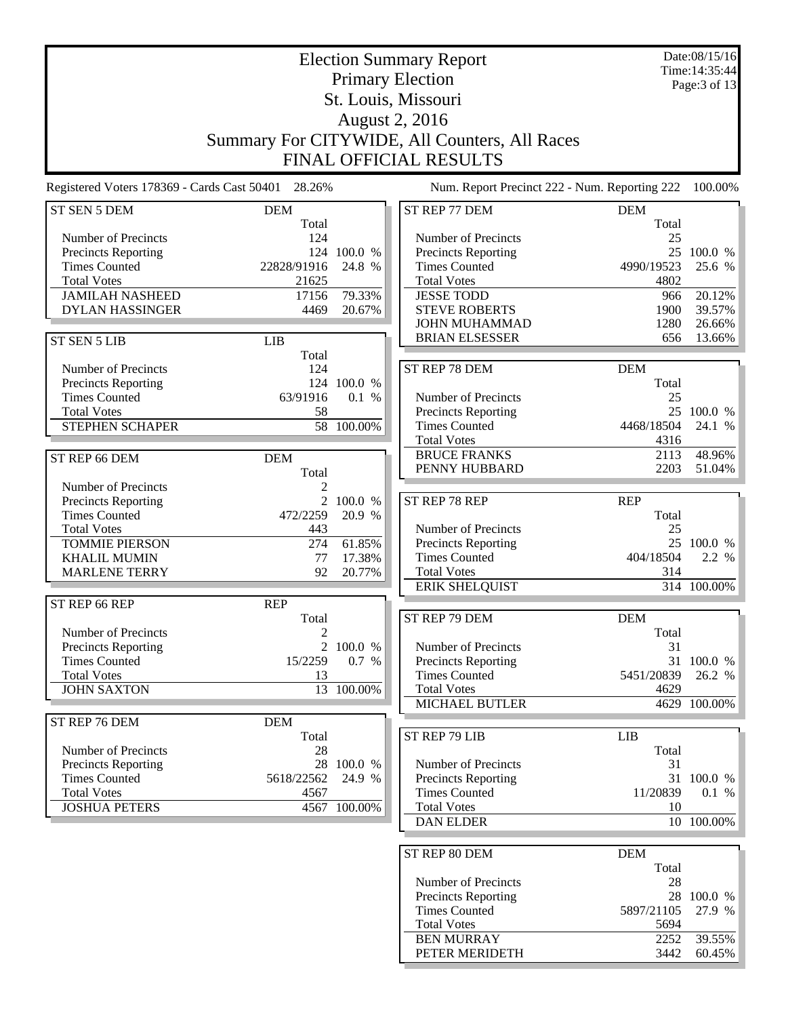|                                                    |                     |                  | <b>Election Summary Report</b>                |             | Date:08/15/16<br>Time: 14:35:44 |
|----------------------------------------------------|---------------------|------------------|-----------------------------------------------|-------------|---------------------------------|
|                                                    |                     |                  | <b>Primary Election</b>                       |             | Page: $3$ of 13                 |
|                                                    |                     |                  | St. Louis, Missouri                           |             |                                 |
|                                                    |                     |                  | <b>August 2, 2016</b>                         |             |                                 |
|                                                    |                     |                  |                                               |             |                                 |
|                                                    |                     |                  | Summary For CITYWIDE, All Counters, All Races |             |                                 |
|                                                    |                     |                  | <b>FINAL OFFICIAL RESULTS</b>                 |             |                                 |
| Registered Voters 178369 - Cards Cast 50401 28.26% |                     |                  | Num. Report Precinct 222 - Num. Reporting 222 |             | 100.00%                         |
| ST SEN 5 DEM                                       | <b>DEM</b>          |                  | ST REP 77 DEM                                 | <b>DEM</b>  |                                 |
|                                                    | Total               |                  |                                               | Total       |                                 |
| Number of Precincts                                | 124                 |                  | Number of Precincts                           | 25          |                                 |
| <b>Precincts Reporting</b>                         |                     | 124 100.0 %      | Precincts Reporting                           |             | 25 100.0 %                      |
| <b>Times Counted</b>                               | 22828/91916         | 24.8 %           | <b>Times Counted</b>                          | 4990/19523  | 25.6 %                          |
| <b>Total Votes</b>                                 | 21625               |                  | <b>Total Votes</b>                            | 4802        |                                 |
| <b>JAMILAH NASHEED</b><br><b>DYLAN HASSINGER</b>   | 17156<br>4469       | 79.33%<br>20.67% | <b>JESSE TODD</b><br><b>STEVE ROBERTS</b>     | 966<br>1900 | 20.12%<br>39.57%                |
|                                                    |                     |                  | <b>JOHN MUHAMMAD</b>                          | 1280        | 26.66%                          |
|                                                    |                     |                  | <b>BRIAN ELSESSER</b>                         | 656         | 13.66%                          |
| ST SEN 5 LIB                                       | <b>LIB</b><br>Total |                  |                                               |             |                                 |
| Number of Precincts                                | 124                 |                  | ST REP 78 DEM                                 | <b>DEM</b>  |                                 |
| <b>Precincts Reporting</b>                         |                     | 124 100.0 %      |                                               | Total       |                                 |
| <b>Times Counted</b>                               | 63/91916            | 0.1 %            | Number of Precincts                           | 25          |                                 |
| <b>Total Votes</b>                                 | 58                  |                  | Precincts Reporting                           |             | 25 100.0 %                      |
| STEPHEN SCHAPER                                    |                     | 58 100.00%       | <b>Times Counted</b>                          | 4468/18504  | 24.1 %                          |
|                                                    |                     |                  | <b>Total Votes</b>                            | 4316        |                                 |
| ST REP 66 DEM                                      | <b>DEM</b>          |                  | <b>BRUCE FRANKS</b>                           | 2113        | 48.96%                          |
|                                                    | Total               |                  | PENNY HUBBARD                                 | 2203        | 51.04%                          |
| Number of Precincts                                | 2                   |                  |                                               |             |                                 |
| <b>Precincts Reporting</b>                         | 2                   | 100.0 %          | ST REP 78 REP                                 | <b>REP</b>  |                                 |
| <b>Times Counted</b>                               | 472/2259            | 20.9 %           |                                               | Total       |                                 |
| <b>Total Votes</b>                                 | 443                 |                  | Number of Precincts                           | 25          |                                 |
| <b>TOMMIE PIERSON</b>                              | 274                 | 61.85%           | Precincts Reporting                           |             | 25 100.0 %                      |
| <b>KHALIL MUMIN</b>                                | 77                  | 17.38%           | <b>Times Counted</b>                          | 404/18504   | 2.2 %                           |
| <b>MARLENE TERRY</b>                               | 92                  | 20.77%           | <b>Total Votes</b>                            | 314         |                                 |
|                                                    |                     |                  | <b>ERIK SHELQUIST</b>                         |             | 314 100.00%                     |
| ST REP 66 REP                                      | <b>REP</b>          |                  |                                               |             |                                 |
|                                                    | Total               |                  | ST REP 79 DEM                                 | <b>DEM</b>  |                                 |
| Number of Precincts                                | $\mathfrak{2}$      |                  |                                               | Total       |                                 |
| Precincts Reporting                                |                     | 2 100.0 %        | Number of Precincts                           | 31          |                                 |
| <b>Times Counted</b>                               | 15/2259             | $0.7\%$          | Precincts Reporting                           |             | 31 100.0 %                      |
| <b>Total Votes</b>                                 | 13                  |                  | <b>Times Counted</b>                          | 5451/20839  | 26.2 %                          |
| <b>JOHN SAXTON</b>                                 | 13                  | 100.00%          | <b>Total Votes</b>                            | 4629        |                                 |
|                                                    |                     |                  | MICHAEL BUTLER                                |             | 4629 100.00%                    |
| ST REP 76 DEM                                      | <b>DEM</b>          |                  |                                               |             |                                 |
|                                                    | Total               |                  | ST REP 79 LIB                                 | <b>LIB</b>  |                                 |
| Number of Precincts                                | 28                  |                  |                                               | Total       |                                 |
| Precincts Reporting                                |                     | 28 100.0 %       | Number of Precincts                           | 31          |                                 |
| <b>Times Counted</b>                               | 5618/22562          | 24.9 %           | <b>Precincts Reporting</b>                    |             | 31 100.0 %                      |
| <b>Total Votes</b>                                 | 4567                |                  | <b>Times Counted</b>                          | 11/20839    | 0.1 %                           |
| <b>JOSHUA PETERS</b>                               |                     | 4567 100.00%     | <b>Total Votes</b>                            | 10          |                                 |
|                                                    |                     |                  | <b>DAN ELDER</b>                              |             | 10 100.00%                      |
|                                                    |                     |                  |                                               |             |                                 |
|                                                    |                     |                  | ST REP 80 DEM                                 | <b>DEM</b>  |                                 |
|                                                    |                     |                  |                                               | Total       |                                 |
|                                                    |                     |                  | Number of Precincts                           | 28          |                                 |
|                                                    |                     |                  | Precincts Reporting                           |             | 28 100.0 %                      |
|                                                    |                     |                  | <b>Times Counted</b>                          | 5897/21105  | 27.9 %                          |
|                                                    |                     |                  | <b>Total Votes</b>                            | 5694        |                                 |
|                                                    |                     |                  | <b>BEN MURRAY</b>                             | 2252        | 39.55%                          |
|                                                    |                     |                  | PETER MERIDETH                                | 3442        | $60.45\%$                       |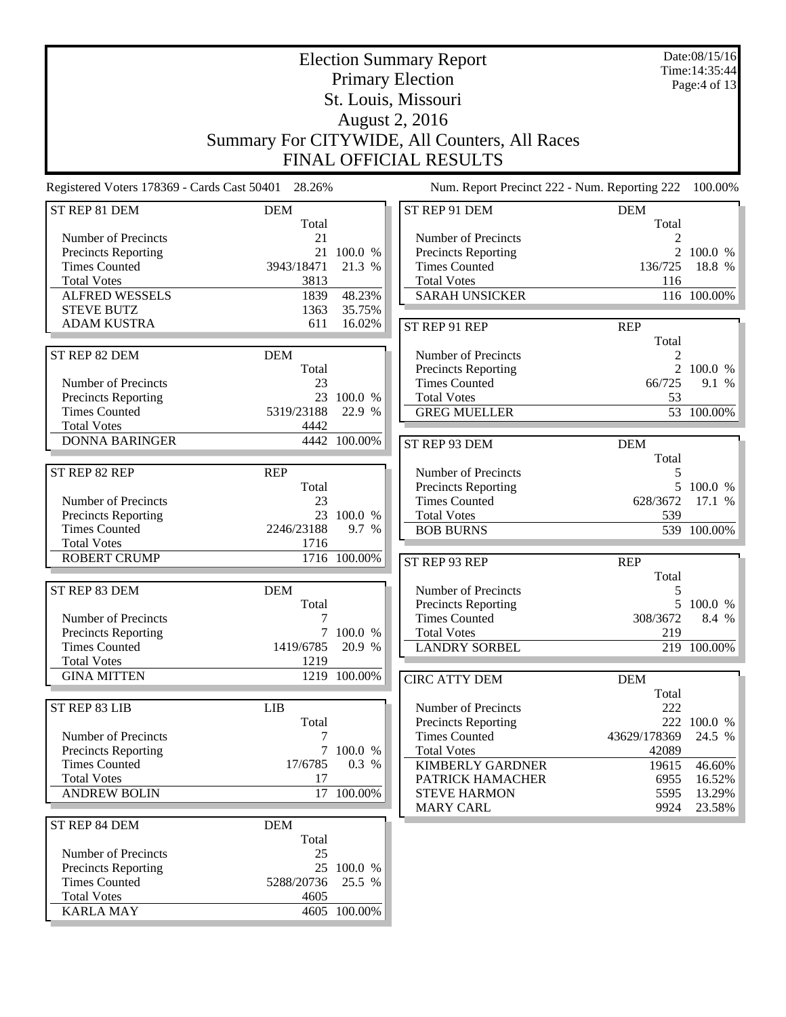| <b>Election Summary Report</b>                     |            |              |                                               |              | Date:08/15/16<br>Time: 14:35:44 |
|----------------------------------------------------|------------|--------------|-----------------------------------------------|--------------|---------------------------------|
|                                                    |            |              | <b>Primary Election</b>                       |              | Page:4 of 13                    |
|                                                    |            |              | St. Louis, Missouri                           |              |                                 |
|                                                    |            |              | <b>August 2, 2016</b>                         |              |                                 |
|                                                    |            |              | Summary For CITYWIDE, All Counters, All Races |              |                                 |
|                                                    |            |              | <b>FINAL OFFICIAL RESULTS</b>                 |              |                                 |
| Registered Voters 178369 - Cards Cast 50401 28.26% |            |              | Num. Report Precinct 222 - Num. Reporting 222 |              | 100.00%                         |
| ST REP 81 DEM                                      | <b>DEM</b> |              | ST REP 91 DEM                                 | <b>DEM</b>   |                                 |
|                                                    | Total      |              |                                               | Total        |                                 |
| Number of Precincts                                | 21         |              | Number of Precincts                           |              |                                 |
| Precincts Reporting                                |            | 21 100.0 %   | <b>Precincts Reporting</b>                    |              | 2 100.0 %                       |
| <b>Times Counted</b>                               | 3943/18471 | 21.3 %       | <b>Times Counted</b>                          | 136/725      | 18.8 %                          |
| <b>Total Votes</b>                                 | 3813       |              | <b>Total Votes</b>                            | 116          |                                 |
| <b>ALFRED WESSELS</b>                              | 1839       | 48.23%       | <b>SARAH UNSICKER</b>                         |              | 116 100.00%                     |
| <b>STEVE BUTZ</b>                                  | 1363       | 35.75%       |                                               |              |                                 |
| <b>ADAM KUSTRA</b>                                 | 611        | 16.02%       | ST REP 91 REP                                 | <b>REP</b>   |                                 |
|                                                    |            |              |                                               | Total        |                                 |
| ST REP 82 DEM                                      | <b>DEM</b> |              | Number of Precincts                           | 2            |                                 |
|                                                    | Total      |              | <b>Precincts Reporting</b>                    |              | 2 100.0 %                       |
| Number of Precincts                                | 23         |              | <b>Times Counted</b>                          | 66/725       | 9.1 %                           |
| Precincts Reporting                                |            | 23 100.0 %   | <b>Total Votes</b>                            | 53           |                                 |
| <b>Times Counted</b>                               | 5319/23188 | 22.9 %       | <b>GREG MUELLER</b>                           |              | 53 100.00%                      |
| <b>Total Votes</b>                                 | 4442       |              |                                               |              |                                 |
| <b>DONNA BARINGER</b>                              |            | 4442 100.00% | ST REP 93 DEM                                 | <b>DEM</b>   |                                 |
|                                                    |            |              |                                               | Total        |                                 |
| ST REP 82 REP                                      | <b>REP</b> |              | Number of Precincts                           | 5            |                                 |
|                                                    | Total      |              | Precincts Reporting                           |              | 5 100.0 %                       |
| Number of Precincts                                | 23         |              | <b>Times Counted</b>                          | 628/3672     | 17.1 %                          |
| Precincts Reporting                                |            | 23 100.0 %   | <b>Total Votes</b>                            | 539          |                                 |
| <b>Times Counted</b>                               | 2246/23188 | 9.7 %        | <b>BOB BURNS</b>                              |              | 539 100.00%                     |
| <b>Total Votes</b>                                 | 1716       |              |                                               |              |                                 |
| <b>ROBERT CRUMP</b>                                |            | 1716 100.00% | ST REP 93 REP                                 | <b>REP</b>   |                                 |
|                                                    |            |              |                                               | Total        |                                 |
| ST REP 83 DEM                                      | <b>DEM</b> |              | Number of Precincts                           | 5            |                                 |
|                                                    | Total      |              | Precincts Reporting                           |              | 5 100.0 %                       |
| Number of Precincts                                | 7          |              | <b>Times Counted</b>                          | 308/3672     | 8.4 %                           |
| <b>Precincts Reporting</b>                         |            | 7 100.0 %    | <b>Total Votes</b>                            | 219          |                                 |
| <b>Times Counted</b>                               | 1419/6785  | 20.9 %       | <b>LANDRY SORBEL</b>                          |              | 219 100.00%                     |
| <b>Total Votes</b>                                 | 1219       |              |                                               |              |                                 |
| <b>GINA MITTEN</b>                                 |            | 1219 100.00% | <b>CIRC ATTY DEM</b>                          | <b>DEM</b>   |                                 |
|                                                    |            |              |                                               | Total        |                                 |
| ST REP 83 LIB                                      | <b>LIB</b> |              | Number of Precincts                           | 222          |                                 |
|                                                    | Total      |              | Precincts Reporting                           |              | 222 100.0 %                     |
| Number of Precincts                                | 7          |              | <b>Times Counted</b>                          | 43629/178369 | 24.5 %                          |
| Precincts Reporting                                |            | 7 100.0 %    | <b>Total Votes</b>                            | 42089        |                                 |
| <b>Times Counted</b>                               | 17/6785    | 0.3 %        | <b>KIMBERLY GARDNER</b>                       | 19615        | 46.60%                          |
| <b>Total Votes</b>                                 | 17         |              | PATRICK HAMACHER                              | 6955         | 16.52%                          |
| <b>ANDREW BOLIN</b>                                |            | 17 100.00%   | <b>STEVE HARMON</b>                           | 5595         | 13.29%                          |
|                                                    |            |              | <b>MARY CARL</b>                              | 9924         | 23.58%                          |
| ST REP 84 DEM                                      | <b>DEM</b> |              |                                               |              |                                 |
|                                                    | Total      |              |                                               |              |                                 |
| Number of Precincts                                | 25         |              |                                               |              |                                 |
| Precincts Reporting                                |            | 25 100.0 %   |                                               |              |                                 |
| <b>Times Counted</b>                               | 5288/20736 | 25.5 %       |                                               |              |                                 |
| <b>Total Votes</b>                                 | 4605       |              |                                               |              |                                 |
| <b>KARLA MAY</b>                                   |            | 4605 100.00% |                                               |              |                                 |
|                                                    |            |              |                                               |              |                                 |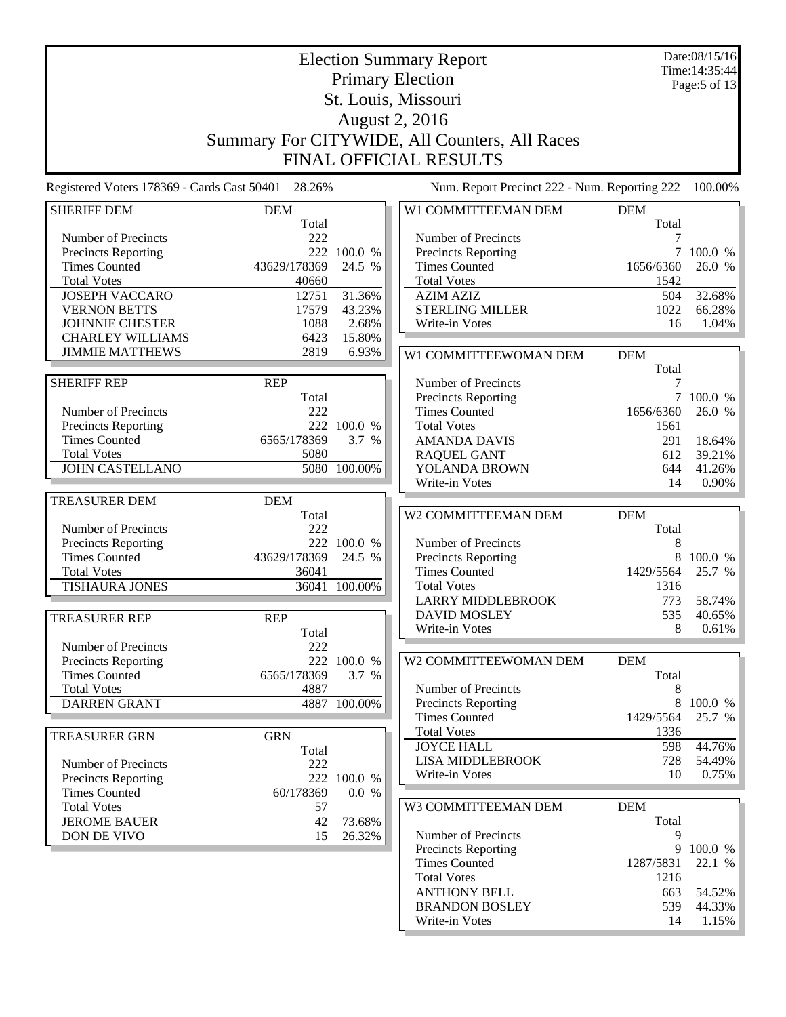|                                                    | <b>Election Summary Report</b><br><b>Primary Election</b> |                 |                                                 |                     |                 |
|----------------------------------------------------|-----------------------------------------------------------|-----------------|-------------------------------------------------|---------------------|-----------------|
|                                                    |                                                           |                 | St. Louis, Missouri                             |                     | Page:5 of 13    |
|                                                    |                                                           |                 | <b>August 2, 2016</b>                           |                     |                 |
|                                                    |                                                           |                 | Summary For CITYWIDE, All Counters, All Races   |                     |                 |
|                                                    |                                                           |                 | <b>FINAL OFFICIAL RESULTS</b>                   |                     |                 |
| Registered Voters 178369 - Cards Cast 50401 28.26% |                                                           |                 | Num. Report Precinct 222 - Num. Reporting 222   |                     | 100.00%         |
| <b>SHERIFF DEM</b>                                 | <b>DEM</b><br>Total                                       |                 | W1 COMMITTEEMAN DEM                             | <b>DEM</b><br>Total |                 |
| Number of Precincts                                | 222                                                       |                 | Number of Precincts                             |                     |                 |
| Precincts Reporting                                |                                                           | 222 100.0 %     | Precincts Reporting                             | 7                   | 100.0 %         |
| <b>Times Counted</b>                               | 43629/178369                                              | 24.5 %          | <b>Times Counted</b>                            | 1656/6360           | 26.0 %          |
| <b>Total Votes</b>                                 | 40660                                                     |                 | <b>Total Votes</b>                              | 1542                |                 |
| <b>JOSEPH VACCARO</b>                              | 12751                                                     | 31.36%          | <b>AZIM AZIZ</b>                                | 504                 | 32.68%          |
| <b>VERNON BETTS</b>                                | 17579                                                     | 43.23%          | <b>STERLING MILLER</b>                          | 1022                | 66.28%          |
| <b>JOHNNIE CHESTER</b>                             | 1088                                                      | 2.68%           | Write-in Votes                                  | 16                  | 1.04%           |
| <b>CHARLEY WILLIAMS</b><br><b>JIMMIE MATTHEWS</b>  | 6423<br>2819                                              | 15.80%<br>6.93% | W1 COMMITTEEWOMAN DEM                           | <b>DEM</b>          |                 |
|                                                    |                                                           |                 |                                                 | Total               |                 |
| <b>SHERIFF REP</b>                                 | <b>REP</b>                                                |                 | Number of Precincts                             | 7                   |                 |
|                                                    | Total                                                     |                 | <b>Precincts Reporting</b>                      | $\tau$              | 100.0 %         |
| Number of Precincts                                | 222                                                       |                 | <b>Times Counted</b>                            | 1656/6360           | 26.0 %          |
| <b>Precincts Reporting</b>                         |                                                           | 222 100.0 %     | <b>Total Votes</b>                              | 1561                |                 |
| <b>Times Counted</b>                               | 6565/178369                                               | 3.7 %           | <b>AMANDA DAVIS</b>                             | 291                 | 18.64%          |
| <b>Total Votes</b>                                 | 5080                                                      |                 | <b>RAQUEL GANT</b>                              | 612                 | 39.21%          |
| <b>JOHN CASTELLANO</b>                             |                                                           | 5080 100.00%    | YOLANDA BROWN<br>Write-in Votes                 | 644<br>14           | 41.26%<br>0.90% |
| <b>TREASURER DEM</b>                               | <b>DEM</b>                                                |                 |                                                 |                     |                 |
|                                                    | Total                                                     |                 | W2 COMMITTEEMAN DEM                             | <b>DEM</b>          |                 |
| Number of Precincts                                | 222                                                       |                 |                                                 | Total               |                 |
| Precincts Reporting                                |                                                           | 222 100.0 %     | Number of Precincts                             | 8                   |                 |
| <b>Times Counted</b>                               | 43629/178369                                              | 24.5 %          | Precincts Reporting                             | 8                   | 100.0 %         |
| <b>Total Votes</b>                                 | 36041                                                     |                 | <b>Times Counted</b>                            | 1429/5564           | 25.7 %          |
| <b>TISHAURA JONES</b>                              |                                                           | 36041 100.00%   | <b>Total Votes</b>                              | 1316<br>773         | 58.74%          |
|                                                    |                                                           |                 | <b>LARRY MIDDLEBROOK</b><br><b>DAVID MOSLEY</b> | 535                 | 40.65%          |
| <b>TREASURER REP</b>                               | <b>REP</b>                                                |                 | Write-in Votes                                  | 8                   | 0.61%           |
| Number of Precincts                                | Total<br>222                                              |                 |                                                 |                     |                 |
| <b>Precincts Reporting</b>                         |                                                           | 222 100.0 %     | W2 COMMITTEEWOMAN DEM                           | <b>DEM</b>          |                 |
| <b>Times Counted</b>                               | 6565/178369                                               | 3.7 %           |                                                 | Total               |                 |
| <b>Total Votes</b>                                 | 4887                                                      |                 | Number of Precincts                             | 8                   |                 |
| <b>DARREN GRANT</b>                                |                                                           | 4887 100.00%    | <b>Precincts Reporting</b>                      | 8                   | 100.0 %         |
|                                                    |                                                           |                 | <b>Times Counted</b>                            | 1429/5564           | 25.7 %          |
| <b>TREASURER GRN</b>                               | <b>GRN</b>                                                |                 | <b>Total Votes</b>                              | 1336                |                 |
|                                                    | Total                                                     |                 | <b>JOYCE HALL</b>                               | 598                 | 44.76%          |
| Number of Precincts                                | 222                                                       |                 | <b>LISA MIDDLEBROOK</b>                         | 728                 | 54.49%          |
| <b>Precincts Reporting</b>                         |                                                           | 222 100.0 %     | Write-in Votes                                  | 10                  | 0.75%           |
| <b>Times Counted</b>                               | 60/178369                                                 | 0.0 %           |                                                 |                     |                 |
| <b>Total Votes</b>                                 | 57                                                        |                 | W3 COMMITTEEMAN DEM                             | <b>DEM</b>          |                 |
| <b>JEROME BAUER</b>                                | 42                                                        | 73.68%          |                                                 | Total               |                 |
| DON DE VIVO                                        | 15                                                        | 26.32%          | Number of Precincts<br>Precincts Reporting      | 9                   | 9 100.0 %       |
|                                                    |                                                           |                 | <b>Times Counted</b>                            | 1287/5831           | 22.1 %          |
|                                                    |                                                           |                 | <b>Total Votes</b>                              | 1216                |                 |
|                                                    |                                                           |                 | <b>ANTHONY BELL</b>                             | 663                 | 54.52%          |
|                                                    |                                                           |                 | <b>BRANDON BOSLEY</b>                           | 539                 | 44.33%          |
|                                                    |                                                           |                 | Write-in Votes                                  | 14                  | 1.15%           |
|                                                    |                                                           |                 |                                                 |                     |                 |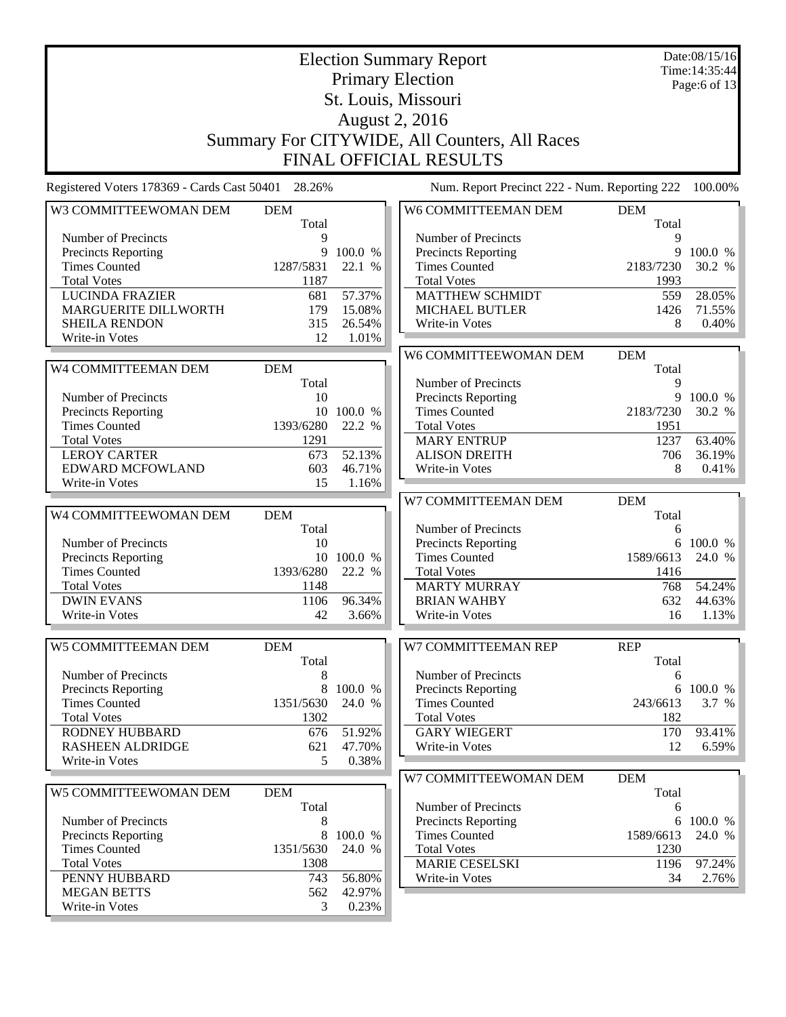|                                                                                                                                                                 |                                                              |                                         | <b>Election Summary Report</b><br><b>Primary Election</b><br>St. Louis, Missouri                                                                         |                                                     | Date:08/15/16<br>Time: 14:35:44<br>Page:6 of 13  |
|-----------------------------------------------------------------------------------------------------------------------------------------------------------------|--------------------------------------------------------------|-----------------------------------------|----------------------------------------------------------------------------------------------------------------------------------------------------------|-----------------------------------------------------|--------------------------------------------------|
|                                                                                                                                                                 |                                                              |                                         | <b>August 2, 2016</b><br>Summary For CITYWIDE, All Counters, All Races<br><b>FINAL OFFICIAL RESULTS</b>                                                  |                                                     |                                                  |
| Registered Voters 178369 - Cards Cast 50401 28.26%                                                                                                              |                                                              |                                         | Num. Report Precinct 222 - Num. Reporting 222                                                                                                            |                                                     | 100.00%                                          |
| W3 COMMITTEEWOMAN DEM                                                                                                                                           | <b>DEM</b><br>Total                                          |                                         | W6 COMMITTEEMAN DEM                                                                                                                                      | <b>DEM</b><br>Total                                 |                                                  |
| Number of Precincts<br>Precincts Reporting<br><b>Times Counted</b><br><b>Total Votes</b><br><b>LUCINDA FRAZIER</b>                                              | 9<br>9<br>1287/5831<br>1187<br>681                           | 100.0 %<br>22.1 %<br>57.37%             | Number of Precincts<br>Precincts Reporting<br><b>Times Counted</b><br><b>Total Votes</b><br><b>MATTHEW SCHMIDT</b>                                       | 9<br>2183/7230<br>1993<br>559                       | 9 100.0 %<br>30.2 %<br>28.05%                    |
| MARGUERITE DILLWORTH<br><b>SHEILA RENDON</b><br>Write-in Votes                                                                                                  | 179<br>315<br>12                                             | 15.08%<br>26.54%<br>1.01%               | <b>MICHAEL BUTLER</b><br>Write-in Votes                                                                                                                  | 1426<br>8                                           | 71.55%<br>0.40%                                  |
| W4 COMMITTEEMAN DEM                                                                                                                                             | <b>DEM</b>                                                   |                                         | W6 COMMITTEEWOMAN DEM                                                                                                                                    | <b>DEM</b><br>Total                                 |                                                  |
| Number of Precincts<br>Precincts Reporting<br><b>Times Counted</b><br><b>Total Votes</b><br><b>LEROY CARTER</b><br>EDWARD MCFOWLAND                             | Total<br>10<br>10<br>1393/6280<br>1291<br>673<br>603<br>15   | 100.0 %<br>22.2 %<br>52.13%<br>46.71%   | Number of Precincts<br>Precincts Reporting<br><b>Times Counted</b><br><b>Total Votes</b><br><b>MARY ENTRUP</b><br><b>ALISON DREITH</b><br>Write-in Votes | 9<br>2183/7230<br>1951<br>1237<br>706<br>8          | 9 100.0 %<br>30.2 %<br>63.40%<br>36.19%<br>0.41% |
| Write-in Votes                                                                                                                                                  |                                                              | 1.16%                                   | W7 COMMITTEEMAN DEM                                                                                                                                      | <b>DEM</b>                                          |                                                  |
| W4 COMMITTEEWOMAN DEM<br>Number of Precincts<br><b>Precincts Reporting</b><br><b>Times Counted</b><br><b>Total Votes</b><br><b>DWIN EVANS</b><br>Write-in Votes | <b>DEM</b><br>Total<br>10<br>1393/6280<br>1148<br>1106<br>42 | 10 100.0 %<br>22.2 %<br>96.34%<br>3.66% | Number of Precincts<br>Precincts Reporting<br><b>Times Counted</b><br><b>Total Votes</b><br><b>MARTY MURRAY</b><br><b>BRIAN WAHBY</b><br>Write-in Votes  | Total<br>6<br>1589/6613<br>1416<br>768<br>632<br>16 | 6 100.0 %<br>24.0 %<br>54.24%<br>44.63%<br>1.13% |
| W5 COMMITTEEMAN DEM                                                                                                                                             | <b>DEM</b><br>Total                                          |                                         | W7 COMMITTEEMAN REP                                                                                                                                      | <b>REP</b><br>Total                                 |                                                  |
| Number of Precincts<br>Precincts Reporting<br><b>Times Counted</b><br><b>Total Votes</b><br><b>RODNEY HUBBARD</b><br><b>RASHEEN ALDRIDGE</b>                    | 8<br>8<br>1351/5630<br>1302<br>676<br>621                    | 100.0 %<br>24.0 %<br>51.92%<br>47.70%   | Number of Precincts<br><b>Precincts Reporting</b><br><b>Times Counted</b><br><b>Total Votes</b><br><b>GARY WIEGERT</b><br>Write-in Votes                 | 6<br>6<br>243/6613<br>182<br>170<br>12              | 100.0 %<br>3.7 %<br>93.41%<br>6.59%              |
| Write-in Votes                                                                                                                                                  | 5                                                            | 0.38%                                   | W7 COMMITTEEWOMAN DEM                                                                                                                                    | <b>DEM</b>                                          |                                                  |
| W5 COMMITTEEWOMAN DEM<br>Number of Precincts<br><b>Precincts Reporting</b><br><b>Times Counted</b><br><b>Total Votes</b>                                        | <b>DEM</b><br>Total<br>8<br>8<br>1351/5630<br>1308           | 100.0 %<br>24.0 %                       | Number of Precincts<br>Precincts Reporting<br><b>Times Counted</b><br><b>Total Votes</b><br><b>MARIE CESELSKI</b>                                        | Total<br>6<br>1589/6613<br>1230                     | 6 100.0 %<br>24.0 %<br>97.24%                    |
| PENNY HUBBARD<br><b>MEGAN BETTS</b><br>Write-in Votes                                                                                                           | 743<br>562<br>3                                              | 56.80%<br>42.97%<br>0.23%               | Write-in Votes                                                                                                                                           | 1196<br>34                                          | 2.76%                                            |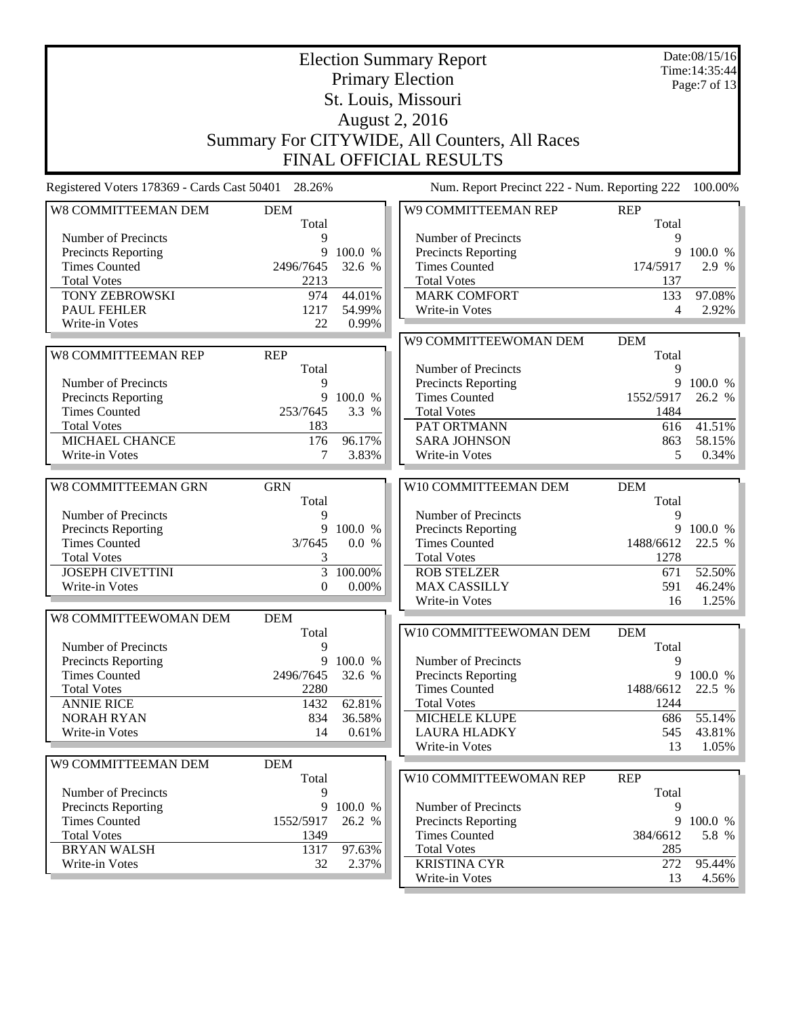|                                                    |                   |                   | <b>Election Summary Report</b><br><b>Primary Election</b><br>St. Louis, Missouri<br><b>August 2, 2016</b><br>Summary For CITYWIDE, All Counters, All Races<br>FINAL OFFICIAL RESULTS |                 | Date:08/15/16<br>Time: 14:35:44<br>Page:7 of 13 |
|----------------------------------------------------|-------------------|-------------------|--------------------------------------------------------------------------------------------------------------------------------------------------------------------------------------|-----------------|-------------------------------------------------|
| Registered Voters 178369 - Cards Cast 50401        | 28.26%            |                   | Num. Report Precinct 222 - Num. Reporting 222                                                                                                                                        |                 | 100.00%                                         |
| W8 COMMITTEEMAN DEM                                | <b>DEM</b>        |                   | W9 COMMITTEEMAN REP                                                                                                                                                                  | <b>REP</b>      |                                                 |
|                                                    | Total             |                   |                                                                                                                                                                                      | Total           |                                                 |
| Number of Precincts                                | 9                 |                   | Number of Precincts                                                                                                                                                                  | 9               |                                                 |
| <b>Precincts Reporting</b>                         | 9                 | 100.0 %           | Precincts Reporting                                                                                                                                                                  |                 | 9 100.0 %                                       |
| <b>Times Counted</b><br><b>Total Votes</b>         | 2496/7645<br>2213 | 32.6 %            | <b>Times Counted</b><br><b>Total Votes</b>                                                                                                                                           | 174/5917<br>137 | 2.9 %                                           |
| <b>TONY ZEBROWSKI</b>                              | 974               | 44.01%            | <b>MARK COMFORT</b>                                                                                                                                                                  | 133             | 97.08%                                          |
| <b>PAUL FEHLER</b>                                 | 1217              | 54.99%            | Write-in Votes                                                                                                                                                                       | 4               | 2.92%                                           |
| Write-in Votes                                     | 22                | 0.99%             |                                                                                                                                                                                      |                 |                                                 |
|                                                    |                   |                   | W9 COMMITTEEWOMAN DEM                                                                                                                                                                | <b>DEM</b>      |                                                 |
| <b>W8 COMMITTEEMAN REP</b>                         | <b>REP</b>        |                   |                                                                                                                                                                                      | Total           |                                                 |
|                                                    | Total             |                   | Number of Precincts                                                                                                                                                                  | 9               |                                                 |
| Number of Precincts                                | 9                 |                   | Precincts Reporting                                                                                                                                                                  |                 | 9 100.0 %                                       |
| <b>Precincts Reporting</b>                         | 9                 | 100.0 %           | <b>Times Counted</b>                                                                                                                                                                 | 1552/5917       | 26.2 %                                          |
| <b>Times Counted</b><br><b>Total Votes</b>         | 253/7645<br>183   | 3.3 %             | <b>Total Votes</b><br>PAT ORTMANN                                                                                                                                                    | 1484<br>616     | 41.51%                                          |
| MICHAEL CHANCE                                     | 176               | 96.17%            | <b>SARA JOHNSON</b>                                                                                                                                                                  | 863             | 58.15%                                          |
| Write-in Votes                                     | 7                 | 3.83%             | Write-in Votes                                                                                                                                                                       | 5               | 0.34%                                           |
|                                                    |                   |                   |                                                                                                                                                                                      |                 |                                                 |
| W8 COMMITTEEMAN GRN                                | <b>GRN</b>        |                   | W10 COMMITTEEMAN DEM                                                                                                                                                                 | <b>DEM</b>      |                                                 |
|                                                    | Total             |                   |                                                                                                                                                                                      | Total           |                                                 |
| Number of Precincts                                | 9<br>9            | 100.0 %           | Number of Precincts                                                                                                                                                                  | 9               | 9 100.0 %                                       |
| <b>Precincts Reporting</b><br><b>Times Counted</b> | 3/7645            | 0.0 %             | Precincts Reporting<br><b>Times Counted</b>                                                                                                                                          | 1488/6612       | 22.5 %                                          |
| <b>Total Votes</b>                                 | 3                 |                   | <b>Total Votes</b>                                                                                                                                                                   | 1278            |                                                 |
| <b>JOSEPH CIVETTINI</b>                            | 3                 | 100.00%           | <b>ROB STELZER</b>                                                                                                                                                                   | 671             | 52.50%                                          |
| Write-in Votes                                     | $\overline{0}$    | 0.00%             | <b>MAX CASSILLY</b>                                                                                                                                                                  | 591             | 46.24%                                          |
|                                                    |                   |                   | Write-in Votes                                                                                                                                                                       | 16              | 1.25%                                           |
| W8 COMMITTEEWOMAN DEM                              | <b>DEM</b>        |                   |                                                                                                                                                                                      |                 |                                                 |
|                                                    | Total             |                   | W10 COMMITTEEWOMAN DEM                                                                                                                                                               | <b>DEM</b>      |                                                 |
| Number of Precincts                                | 9                 |                   |                                                                                                                                                                                      | Total           |                                                 |
| <b>Precincts Reporting</b>                         | 9                 | 100.0 %           | Number of Precincts                                                                                                                                                                  | 9               |                                                 |
| <b>Times Counted</b><br><b>Total Votes</b>         | 2496/7645<br>2280 | 32.6 %            | Precincts Reporting<br><b>Times Counted</b>                                                                                                                                          | 1488/6612       | 9 100.0 %<br>22.5 %                             |
| <b>ANNIE RICE</b>                                  | 1432              | 62.81%            | <b>Total Votes</b>                                                                                                                                                                   | 1244            |                                                 |
| <b>NORAH RYAN</b>                                  | 834               | 36.58%            | <b>MICHELE KLUPE</b>                                                                                                                                                                 | 686             | 55.14%                                          |
| Write-in Votes                                     | 14                | 0.61%             | <b>LAURA HLADKY</b>                                                                                                                                                                  | 545             | 43.81%                                          |
|                                                    |                   |                   | Write-in Votes                                                                                                                                                                       | 13              | 1.05%                                           |
| W9 COMMITTEEMAN DEM                                | <b>DEM</b>        |                   |                                                                                                                                                                                      |                 |                                                 |
|                                                    | Total             |                   | W10 COMMITTEEWOMAN REP                                                                                                                                                               | <b>REP</b>      |                                                 |
| Number of Precincts                                | 9                 |                   |                                                                                                                                                                                      | Total           |                                                 |
| Precincts Reporting<br><b>Times Counted</b>        | 9<br>1552/5917    | 100.0 %<br>26.2 % | Number of Precincts                                                                                                                                                                  | 9<br>9          | 100.0 %                                         |
| <b>Total Votes</b>                                 | 1349              |                   | Precincts Reporting<br><b>Times Counted</b>                                                                                                                                          | 384/6612        | 5.8 %                                           |
| <b>BRYAN WALSH</b>                                 | 1317              | 97.63%            | <b>Total Votes</b>                                                                                                                                                                   | 285             |                                                 |
| Write-in Votes                                     | 32                | 2.37%             | <b>KRISTINA CYR</b>                                                                                                                                                                  | 272             | 95.44%                                          |
|                                                    |                   |                   | Write-in Votes                                                                                                                                                                       | 13              | 4.56%                                           |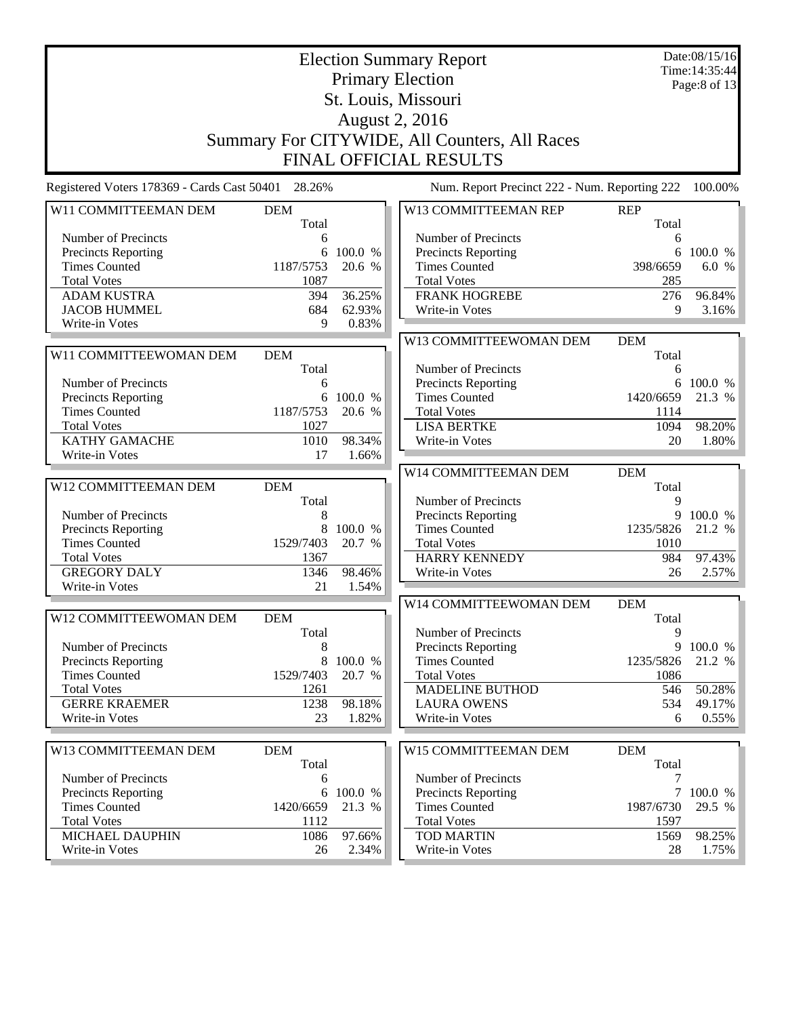|                                             |            |           | <b>Election Summary Report</b>                |            | Date:08/15/16   |
|---------------------------------------------|------------|-----------|-----------------------------------------------|------------|-----------------|
|                                             |            |           |                                               |            | Time: 14:35:44  |
|                                             |            |           | <b>Primary Election</b>                       |            | Page: 8 of $13$ |
|                                             |            |           | St. Louis, Missouri                           |            |                 |
|                                             |            |           | <b>August 2, 2016</b>                         |            |                 |
|                                             |            |           |                                               |            |                 |
|                                             |            |           | Summary For CITYWIDE, All Counters, All Races |            |                 |
|                                             |            |           | <b>FINAL OFFICIAL RESULTS</b>                 |            |                 |
| Registered Voters 178369 - Cards Cast 50401 | 28.26%     |           | Num. Report Precinct 222 - Num. Reporting 222 |            | 100.00%         |
| W11 COMMITTEEMAN DEM                        | <b>DEM</b> |           | W13 COMMITTEEMAN REP                          | <b>REP</b> |                 |
|                                             | Total      |           |                                               | Total      |                 |
| Number of Precincts                         | 6          |           | Number of Precincts                           | 6          |                 |
| <b>Precincts Reporting</b>                  | 6          | 100.0 %   | <b>Precincts Reporting</b>                    | 6          | 100.0 %         |
| <b>Times Counted</b>                        | 1187/5753  | 20.6 %    | <b>Times Counted</b>                          | 398/6659   | 6.0 %           |
| <b>Total Votes</b>                          | 1087       |           | <b>Total Votes</b>                            | 285        |                 |
| <b>ADAM KUSTRA</b>                          | 394        | 36.25%    | <b>FRANK HOGREBE</b>                          | 276        | 96.84%          |
| <b>JACOB HUMMEL</b>                         | 684        | 62.93%    | Write-in Votes                                | 9          | 3.16%           |
| Write-in Votes                              | 9          | 0.83%     |                                               |            |                 |
|                                             |            |           | W13 COMMITTEEWOMAN DEM                        | <b>DEM</b> |                 |
| W11 COMMITTEEWOMAN DEM                      | <b>DEM</b> |           |                                               | Total      |                 |
|                                             | Total      |           | Number of Precincts                           | 6          |                 |
| Number of Precincts                         | 6          |           | Precincts Reporting                           | 6          | 100.0 %         |
| <b>Precincts Reporting</b>                  |            | 6 100.0 % | <b>Times Counted</b>                          | 1420/6659  | 21.3 %          |
| <b>Times Counted</b>                        | 1187/5753  | 20.6 %    | <b>Total Votes</b>                            | 1114       |                 |
| <b>Total Votes</b>                          | 1027       |           | <b>LISA BERTKE</b>                            | 1094       | 98.20%          |
| <b>KATHY GAMACHE</b>                        | 1010       | 98.34%    | Write-in Votes                                | 20         | 1.80%           |
| Write-in Votes                              | 17         | 1.66%     |                                               |            |                 |
|                                             |            |           | W14 COMMITTEEMAN DEM                          | <b>DEM</b> |                 |
| W12 COMMITTEEMAN DEM                        | <b>DEM</b> |           |                                               | Total      |                 |
|                                             | Total      |           | Number of Precincts                           | 9          |                 |
| Number of Precincts                         | 8          |           | <b>Precincts Reporting</b>                    | 9          | 100.0 %         |
| <b>Precincts Reporting</b>                  | 8          | 100.0 %   | <b>Times Counted</b>                          | 1235/5826  | 21.2 %          |
| <b>Times Counted</b>                        | 1529/7403  | 20.7 %    | <b>Total Votes</b>                            | 1010       |                 |
| <b>Total Votes</b>                          | 1367       |           | <b>HARRY KENNEDY</b>                          | 984        | 97.43%          |
| <b>GREGORY DALY</b>                         | 1346       | 98.46%    | Write-in Votes                                | 26         | 2.57%           |
| Write-in Votes                              | 21         | 1.54%     |                                               |            |                 |
|                                             |            |           | W14 COMMITTEEWOMAN DEM                        | <b>DEM</b> |                 |
| W12 COMMITTEEWOMAN DEM                      | <b>DEM</b> |           |                                               | Total      |                 |
|                                             | Total      |           | Number of Precincts                           | 9          |                 |
| Number of Precincts                         | 8          |           | <b>Precincts Reporting</b>                    | 9          | 100.0 %         |
| <b>Precincts Reporting</b>                  | 8          | 100.0 %   | <b>Times Counted</b>                          | 1235/5826  | 21.2 %          |
| <b>Times Counted</b>                        | 1529/7403  | 20.7 %    | <b>Total Votes</b>                            | 1086       |                 |
| <b>Total Votes</b>                          | 1261       |           | <b>MADELINE BUTHOD</b>                        | 546        | 50.28%          |
| <b>GERRE KRAEMER</b>                        | 1238       | 98.18%    | <b>LAURA OWENS</b>                            | 534        | 49.17%          |
| Write-in Votes                              | 23         | 1.82%     | Write-in Votes                                | 6          | $0.55\%$        |
|                                             |            |           |                                               |            |                 |
| W13 COMMITTEEMAN DEM                        | <b>DEM</b> |           | W15 COMMITTEEMAN DEM                          | <b>DEM</b> |                 |
|                                             | Total      |           |                                               | Total      |                 |
| Number of Precincts                         |            |           | Number of Precincts                           | 7          |                 |
| Precincts Reporting                         | 6          | 6 100.0 % |                                               |            | 7100.0%         |
| <b>Times Counted</b>                        | 1420/6659  | 21.3 %    | Precincts Reporting<br><b>Times Counted</b>   | 1987/6730  | 29.5 %          |
| <b>Total Votes</b>                          | 1112       |           | <b>Total Votes</b>                            |            |                 |
|                                             |            |           | <b>TOD MARTIN</b>                             | 1597       |                 |
| MICHAEL DAUPHIN                             | 1086       | 97.66%    |                                               | 1569       | 98.25%          |
| Write-in Votes                              | 26         | 2.34%     | Write-in Votes                                | 28         | 1.75%           |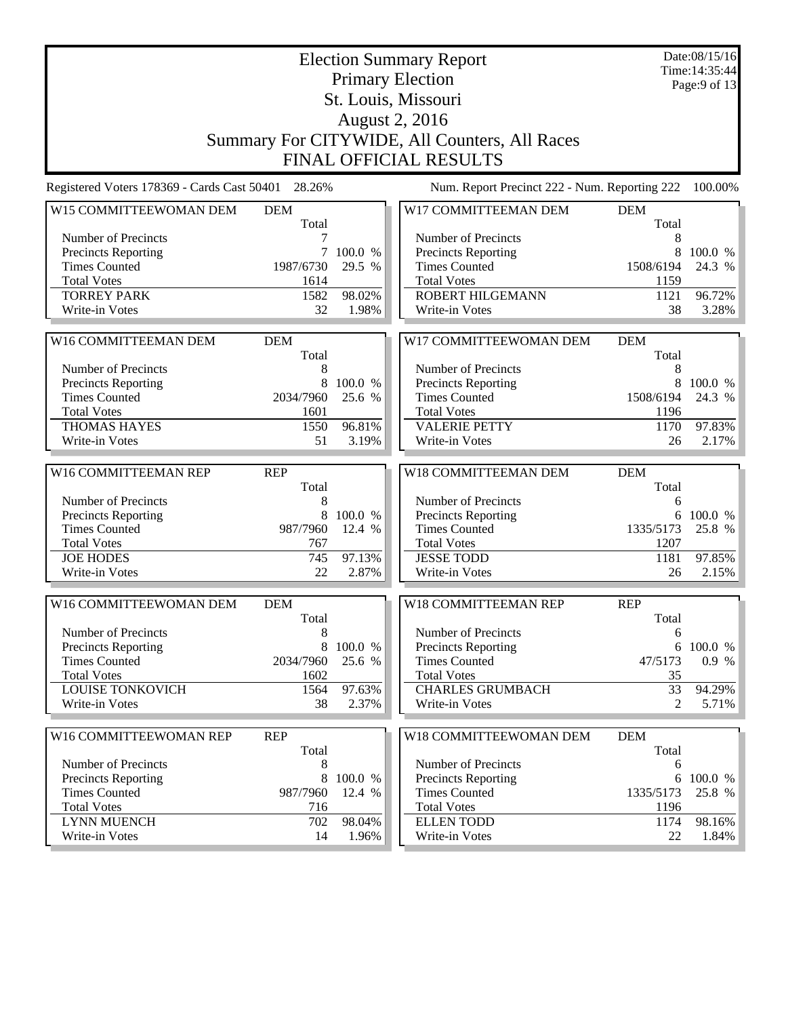|                                                    |                     |                   | <b>Election Summary Report</b><br><b>Primary Election</b> |                     | Date:08/15/16<br>Time: 14:35:44<br>Page: $9$ of 13 |
|----------------------------------------------------|---------------------|-------------------|-----------------------------------------------------------|---------------------|----------------------------------------------------|
|                                                    |                     |                   | St. Louis, Missouri                                       |                     |                                                    |
|                                                    |                     |                   | <b>August 2, 2016</b>                                     |                     |                                                    |
|                                                    |                     |                   |                                                           |                     |                                                    |
|                                                    |                     |                   | Summary For CITYWIDE, All Counters, All Races             |                     |                                                    |
|                                                    |                     |                   | <b>FINAL OFFICIAL RESULTS</b>                             |                     |                                                    |
| Registered Voters 178369 - Cards Cast 50401 28.26% |                     |                   | Num. Report Precinct 222 - Num. Reporting 222             |                     | 100.00%                                            |
| W15 COMMITTEEWOMAN DEM                             | <b>DEM</b><br>Total |                   | W17 COMMITTEEMAN DEM                                      | <b>DEM</b><br>Total |                                                    |
| Number of Precincts                                | 7                   |                   | Number of Precincts                                       | 8                   |                                                    |
| Precincts Reporting                                | 7                   | 100.0 %           | Precincts Reporting                                       | 8                   | 100.0 %                                            |
| <b>Times Counted</b>                               | 1987/6730           | 29.5 %            | <b>Times Counted</b>                                      | 1508/6194           | 24.3 %                                             |
| <b>Total Votes</b>                                 | 1614                |                   | <b>Total Votes</b>                                        | 1159                |                                                    |
| <b>TORREY PARK</b>                                 | 1582                | 98.02%            | ROBERT HILGEMANN                                          | 1121                | 96.72%                                             |
| Write-in Votes                                     | 32                  | 1.98%             | Write-in Votes                                            | 38                  | 3.28%                                              |
|                                                    |                     |                   |                                                           |                     |                                                    |
| W16 COMMITTEEMAN DEM                               | <b>DEM</b>          |                   | W17 COMMITTEEWOMAN DEM                                    | <b>DEM</b>          |                                                    |
|                                                    | Total               |                   |                                                           | Total               |                                                    |
| Number of Precincts                                | 8                   |                   | Number of Precincts                                       | 8                   |                                                    |
| <b>Precincts Reporting</b>                         | 8                   | 100.0 %           | Precincts Reporting                                       | 8                   | 100.0 %                                            |
| <b>Times Counted</b>                               | 2034/7960           | 25.6 %            | <b>Times Counted</b>                                      | 1508/6194           | 24.3 %                                             |
| <b>Total Votes</b>                                 | 1601                |                   | <b>Total Votes</b>                                        | 1196                |                                                    |
| THOMAS HAYES                                       | 1550                | 96.81%            | <b>VALERIE PETTY</b>                                      | 1170                | 97.83%                                             |
| Write-in Votes                                     | 51                  | 3.19%             | Write-in Votes                                            | 26                  | 2.17%                                              |
|                                                    |                     |                   |                                                           |                     |                                                    |
| W16 COMMITTEEMAN REP                               | <b>REP</b>          |                   | W18 COMMITTEEMAN DEM                                      | <b>DEM</b>          |                                                    |
|                                                    | Total               |                   |                                                           | Total               |                                                    |
| Number of Precincts                                | 8                   |                   | Number of Precincts                                       | 6                   |                                                    |
| <b>Precincts Reporting</b><br><b>Times Counted</b> | 8<br>987/7960       | 100.0 %<br>12.4 % | Precincts Reporting<br><b>Times Counted</b>               | 6<br>1335/5173      | 100.0 %<br>25.8 %                                  |
| <b>Total Votes</b>                                 | 767                 |                   | <b>Total Votes</b>                                        | 1207                |                                                    |
| <b>JOE HODES</b>                                   | 745                 | 97.13%            | <b>JESSE TODD</b>                                         | 1181                | 97.85%                                             |
| Write-in Votes                                     | 22                  | 2.87%             | Write-in Votes                                            | 26                  | 2.15%                                              |
|                                                    |                     |                   |                                                           |                     |                                                    |
| W16 COMMITTEEWOMAN DEM                             | <b>DEM</b>          |                   | <b>W18 COMMITTEEMAN REP</b>                               | <b>REP</b>          |                                                    |
| Number of Precincts                                | Total<br>8          |                   | Number of Precincts                                       | Total<br>6          |                                                    |
| Precincts Reporting                                | 8                   | 100.0 %           | <b>Precincts Reporting</b>                                |                     | 6 100.0 %                                          |
| <b>Times Counted</b>                               | 2034/7960           | 25.6 %            | <b>Times Counted</b>                                      | 47/5173             | 0.9 %                                              |
| <b>Total Votes</b>                                 | 1602                |                   | <b>Total Votes</b>                                        | 35                  |                                                    |
| <b>LOUISE TONKOVICH</b>                            | 1564                | 97.63%            | <b>CHARLES GRUMBACH</b>                                   | 33                  | 94.29%                                             |
| Write-in Votes                                     | 38                  | 2.37%             | Write-in Votes                                            | 2                   | 5.71%                                              |
|                                                    |                     |                   |                                                           |                     |                                                    |
| W16 COMMITTEEWOMAN REP                             | <b>REP</b><br>Total |                   | W18 COMMITTEEWOMAN DEM                                    | <b>DEM</b><br>Total |                                                    |
| Number of Precincts                                | 8                   |                   | Number of Precincts                                       | 6                   |                                                    |
| <b>Precincts Reporting</b>                         | 8                   | 100.0 %           | <b>Precincts Reporting</b>                                | 6                   | 100.0 %                                            |
| <b>Times Counted</b>                               | 987/7960            | 12.4 %            | <b>Times Counted</b>                                      | 1335/5173           | 25.8 %                                             |
| <b>Total Votes</b>                                 | 716                 |                   | <b>Total Votes</b>                                        | 1196                |                                                    |
| <b>LYNN MUENCH</b>                                 | 702                 | 98.04%            | <b>ELLEN TODD</b>                                         | 1174                | 98.16%                                             |
| Write-in Votes                                     | 14                  | 1.96%             | Write-in Votes                                            | 22                  | 1.84%                                              |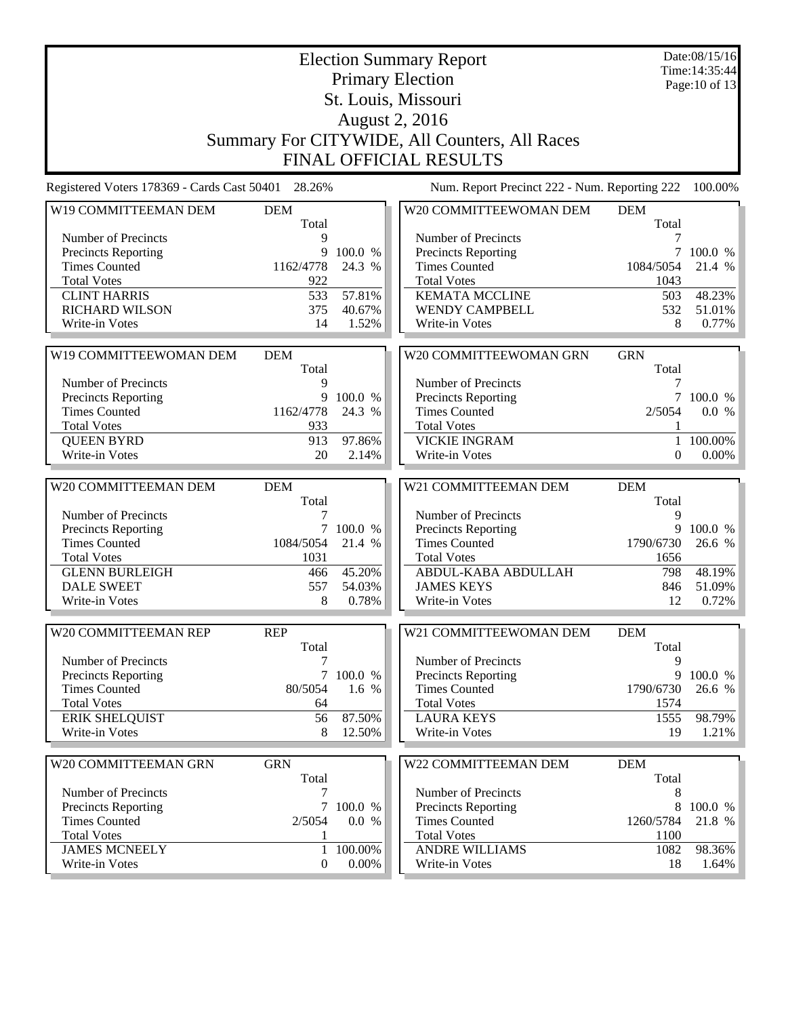|                                                    |                     |                     | <b>Election Summary Report</b><br><b>Primary Election</b> |                     | Date:08/15/16<br>Time: 14:35:44<br>Page: 10 of 13 |
|----------------------------------------------------|---------------------|---------------------|-----------------------------------------------------------|---------------------|---------------------------------------------------|
|                                                    |                     |                     | St. Louis, Missouri                                       |                     |                                                   |
|                                                    |                     |                     | <b>August 2, 2016</b>                                     |                     |                                                   |
|                                                    |                     |                     | Summary For CITYWIDE, All Counters, All Races             |                     |                                                   |
|                                                    |                     |                     | FINAL OFFICIAL RESULTS                                    |                     |                                                   |
| Registered Voters 178369 - Cards Cast 50401 28.26% |                     |                     | Num. Report Precinct 222 - Num. Reporting 222             |                     | 100.00%                                           |
| W19 COMMITTEEMAN DEM                               | <b>DEM</b><br>Total |                     | W20 COMMITTEEWOMAN DEM                                    | <b>DEM</b><br>Total |                                                   |
| Number of Precincts                                | 9                   |                     | Number of Precincts                                       | 7                   |                                                   |
| <b>Precincts Reporting</b>                         | 9                   | 100.0 %             | Precincts Reporting                                       | 7                   | 100.0 %                                           |
| <b>Times Counted</b>                               | 1162/4778           | 24.3 %              | <b>Times Counted</b>                                      | 1084/5054           | 21.4 %                                            |
| <b>Total Votes</b>                                 | 922                 |                     | <b>Total Votes</b>                                        | 1043                |                                                   |
| <b>CLINT HARRIS</b>                                | 533                 | 57.81%              | <b>KEMATA MCCLINE</b>                                     | 503                 | 48.23%                                            |
| <b>RICHARD WILSON</b><br>Write-in Votes            | 375<br>14           | 40.67%<br>1.52%     | WENDY CAMPBELL<br>Write-in Votes                          | 532<br>8            | 51.01%<br>0.77%                                   |
|                                                    |                     |                     |                                                           |                     |                                                   |
| W19 COMMITTEEWOMAN DEM                             | <b>DEM</b>          |                     | W20 COMMITTEEWOMAN GRN                                    | <b>GRN</b>          |                                                   |
|                                                    | Total               |                     |                                                           | Total               |                                                   |
| Number of Precincts                                | 9                   |                     | Number of Precincts                                       | 7                   |                                                   |
| <b>Precincts Reporting</b>                         | 9                   | 100.0 %             | Precincts Reporting                                       | 7                   | 100.0 %                                           |
| <b>Times Counted</b><br><b>Total Votes</b>         | 1162/4778<br>933    | 24.3 %              | <b>Times Counted</b><br><b>Total Votes</b>                | 2/5054<br>1         | 0.0 %                                             |
| <b>QUEEN BYRD</b>                                  | 913                 | 97.86%              | <b>VICKIE INGRAM</b>                                      | 1                   | 100.00%                                           |
| Write-in Votes                                     | 20                  | 2.14%               | Write-in Votes                                            | $\mathbf{0}$        | $0.00\%$                                          |
|                                                    |                     |                     |                                                           |                     |                                                   |
| W20 COMMITTEEMAN DEM                               | <b>DEM</b>          |                     | W21 COMMITTEEMAN DEM                                      | <b>DEM</b>          |                                                   |
|                                                    | Total               |                     |                                                           | Total               |                                                   |
| Number of Precincts                                | 7                   |                     | Number of Precincts                                       | 9<br>9              |                                                   |
| Precincts Reporting<br><b>Times Counted</b>        | 1084/5054           | 7 100.0 %<br>21.4 % | Precincts Reporting<br><b>Times Counted</b>               | 1790/6730           | 100.0 %<br>26.6 %                                 |
| <b>Total Votes</b>                                 | 1031                |                     | <b>Total Votes</b>                                        | 1656                |                                                   |
| <b>GLENN BURLEIGH</b>                              | 466                 | 45.20%              | ABDUL-KABA ABDULLAH                                       | 798                 | 48.19%                                            |
| <b>DALE SWEET</b>                                  | 557                 | 54.03%              | <b>JAMES KEYS</b>                                         | 846                 | 51.09%                                            |
| Write-in Votes                                     | 8                   | 0.78%               | Write-in Votes                                            | 12                  | 0.72%                                             |
|                                                    |                     |                     |                                                           |                     |                                                   |
| W20 COMMITTEEMAN REP                               | <b>REP</b>          |                     | W21 COMMITTEEWOMAN DEM                                    | <b>DEM</b>          |                                                   |
| Number of Precincts                                | Total<br>7          |                     | Number of Precincts                                       | Total<br>9          |                                                   |
| <b>Precincts Reporting</b>                         | $\tau$              | 100.0 %             | <b>Precincts Reporting</b>                                | 9                   | 100.0 %                                           |
| <b>Times Counted</b>                               | 80/5054             | 1.6 %               | <b>Times Counted</b>                                      | 1790/6730           | 26.6 %                                            |
| <b>Total Votes</b>                                 | 64                  |                     | <b>Total Votes</b>                                        | 1574                |                                                   |
| <b>ERIK SHELQUIST</b>                              | 56                  | 87.50%              | <b>LAURA KEYS</b>                                         | 1555                | 98.79%                                            |
| Write-in Votes                                     | 8                   | 12.50%              | Write-in Votes                                            | 19                  | 1.21%                                             |
|                                                    |                     |                     |                                                           |                     |                                                   |
| W20 COMMITTEEMAN GRN                               | <b>GRN</b><br>Total |                     | W22 COMMITTEEMAN DEM                                      | <b>DEM</b><br>Total |                                                   |
| Number of Precincts                                | 7                   |                     | Number of Precincts                                       | 8                   |                                                   |
| <b>Precincts Reporting</b>                         | 7                   | 100.0 %             | Precincts Reporting                                       | 8                   | 100.0 %                                           |
| <b>Times Counted</b>                               | 2/5054              | 0.0 %               | <b>Times Counted</b>                                      | 1260/5784           | 21.8 %                                            |
| <b>Total Votes</b>                                 | 1                   |                     | <b>Total Votes</b>                                        | 1100                |                                                   |
| <b>JAMES MCNEELY</b>                               |                     | 1 100.00%           | <b>ANDRE WILLIAMS</b>                                     | 1082                | 98.36%                                            |
| Write-in Votes                                     | $\overline{0}$      | $0.00\%$            | Write-in Votes                                            | 18                  | $1.64\%$                                          |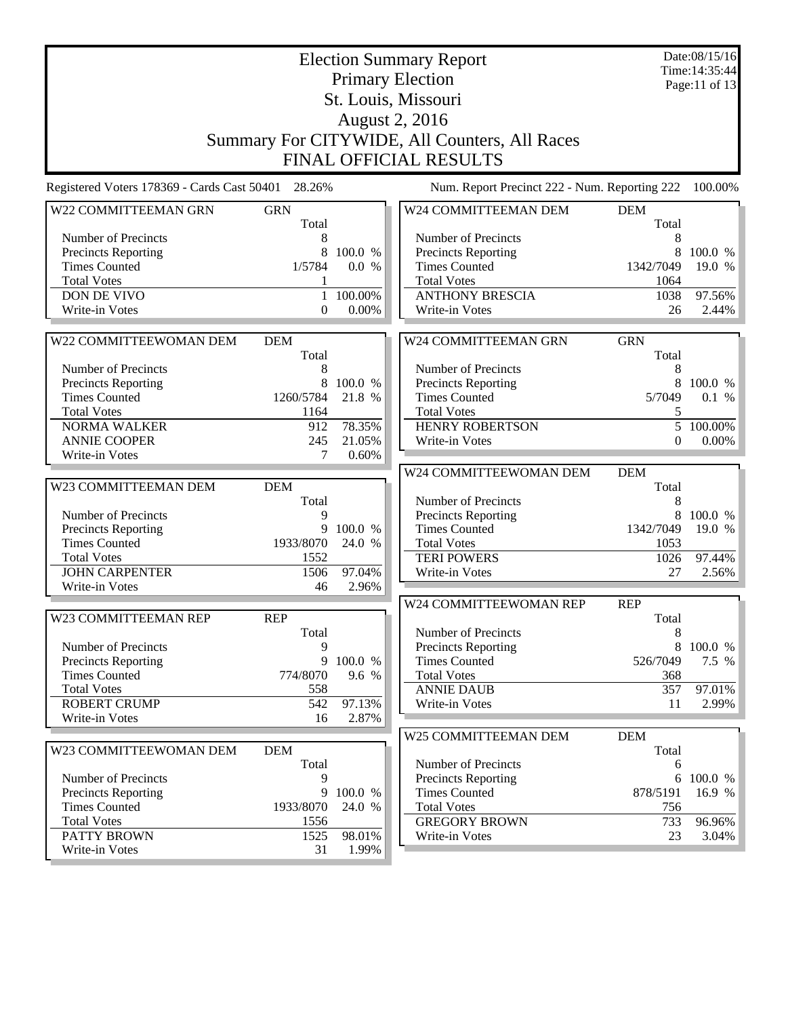|                                                    |                     |                  | <b>Election Summary Report</b><br><b>Primary Election</b> |                     | Date:08/15/16<br>Time: 14:35:44 |
|----------------------------------------------------|---------------------|------------------|-----------------------------------------------------------|---------------------|---------------------------------|
|                                                    |                     |                  | St. Louis, Missouri                                       |                     | Page:11 of 13                   |
|                                                    |                     |                  | <b>August 2, 2016</b>                                     |                     |                                 |
|                                                    |                     |                  |                                                           |                     |                                 |
|                                                    |                     |                  | Summary For CITYWIDE, All Counters, All Races             |                     |                                 |
|                                                    |                     |                  | <b>FINAL OFFICIAL RESULTS</b>                             |                     |                                 |
| Registered Voters 178369 - Cards Cast 50401 28.26% |                     |                  | Num. Report Precinct 222 - Num. Reporting 222             |                     | 100.00%                         |
| W22 COMMITTEEMAN GRN                               | <b>GRN</b><br>Total |                  | W24 COMMITTEEMAN DEM                                      | <b>DEM</b><br>Total |                                 |
| Number of Precincts                                | 8                   |                  | Number of Precincts                                       | 8                   |                                 |
| Precincts Reporting                                | 8                   | 100.0 %          | Precincts Reporting                                       | 8                   | 100.0 %                         |
| <b>Times Counted</b>                               | 1/5784              | 0.0 %            | <b>Times Counted</b>                                      | 1342/7049           | 19.0 %                          |
| <b>Total Votes</b>                                 |                     |                  | <b>Total Votes</b>                                        | 1064                |                                 |
| DON DE VIVO                                        | 1                   | 100.00%          | <b>ANTHONY BRESCIA</b>                                    | 1038                | 97.56%                          |
| Write-in Votes                                     | $\mathbf{0}$        | 0.00%            | Write-in Votes                                            | 26                  | 2.44%                           |
|                                                    |                     |                  |                                                           |                     |                                 |
| W22 COMMITTEEWOMAN DEM                             | <b>DEM</b><br>Total |                  | W24 COMMITTEEMAN GRN                                      | <b>GRN</b><br>Total |                                 |
| Number of Precincts                                | 8                   |                  | Number of Precincts                                       | 8                   |                                 |
| <b>Precincts Reporting</b>                         | 8                   | 100.0 %          | Precincts Reporting                                       | 8                   | 100.0 %                         |
| <b>Times Counted</b>                               | 1260/5784           | 21.8 %           | <b>Times Counted</b>                                      | 5/7049              | 0.1 %                           |
| <b>Total Votes</b>                                 | 1164                |                  | <b>Total Votes</b>                                        | 5                   |                                 |
| <b>NORMA WALKER</b>                                | 912                 | 78.35%           | <b>HENRY ROBERTSON</b>                                    | 5                   | 100.00%                         |
| <b>ANNIE COOPER</b>                                | 245                 | 21.05%           | Write-in Votes                                            | $\boldsymbol{0}$    | $0.00\%$                        |
| Write-in Votes                                     | 7                   | 0.60%            |                                                           |                     |                                 |
|                                                    |                     |                  | W24 COMMITTEEWOMAN DEM                                    | <b>DEM</b>          |                                 |
| W23 COMMITTEEMAN DEM                               | <b>DEM</b>          |                  |                                                           | Total               |                                 |
|                                                    | Total               |                  | Number of Precincts                                       | 8<br>8              |                                 |
| Number of Precincts<br>Precincts Reporting         | 9<br>9              | 100.0 %          | Precincts Reporting<br><b>Times Counted</b>               | 1342/7049           | 100.0 %<br>19.0 %               |
| <b>Times Counted</b>                               | 1933/8070           | 24.0 %           | <b>Total Votes</b>                                        | 1053                |                                 |
| <b>Total Votes</b>                                 | 1552                |                  | <b>TERI POWERS</b>                                        | 1026                | 97.44%                          |
| <b>JOHN CARPENTER</b>                              | 1506                | 97.04%           | Write-in Votes                                            | 27                  | 2.56%                           |
| Write-in Votes                                     | 46                  | 2.96%            |                                                           |                     |                                 |
|                                                    |                     |                  | W24 COMMITTEEWOMAN REP                                    | <b>REP</b>          |                                 |
| W23 COMMITTEEMAN REP                               | <b>REP</b>          |                  |                                                           | Total               |                                 |
|                                                    | Total               |                  | Number of Precincts                                       | 8                   |                                 |
| Number of Precincts                                | 9                   |                  | Precincts Reporting<br><b>Times Counted</b>               | 8                   | 100.0 %                         |
| <b>Precincts Reporting</b><br><b>Times Counted</b> | 9<br>774/8070       | 100.0 %<br>9.6 % | <b>Total Votes</b>                                        | 526/7049<br>368     | 7.5 %                           |
| <b>Total Votes</b>                                 | 558                 |                  | <b>ANNIE DAUB</b>                                         | 357                 | 97.01%                          |
| <b>ROBERT CRUMP</b>                                | 542                 | 97.13%           | Write-in Votes                                            | 11                  | 2.99%                           |
| Write-in Votes                                     | 16                  | 2.87%            |                                                           |                     |                                 |
|                                                    |                     |                  | W25 COMMITTEEMAN DEM                                      | <b>DEM</b>          |                                 |
| W23 COMMITTEEWOMAN DEM                             | <b>DEM</b>          |                  |                                                           | Total               |                                 |
|                                                    | Total               |                  | Number of Precincts                                       | 6                   |                                 |
| Number of Precincts                                | 9                   |                  | <b>Precincts Reporting</b>                                | 6                   | 100.0 %                         |
| Precincts Reporting                                | 9                   | 100.0 %          | <b>Times Counted</b>                                      | 878/5191            | 16.9 %                          |
| <b>Times Counted</b>                               | 1933/8070           | 24.0 %           | <b>Total Votes</b>                                        | 756                 |                                 |
| <b>Total Votes</b><br><b>PATTY BROWN</b>           | 1556<br>1525        |                  | <b>GREGORY BROWN</b>                                      | 733                 | 96.96%                          |
| Write-in Votes                                     | 31                  | 98.01%<br>1.99%  | Write-in Votes                                            | 23                  | 3.04%                           |
|                                                    |                     |                  |                                                           |                     |                                 |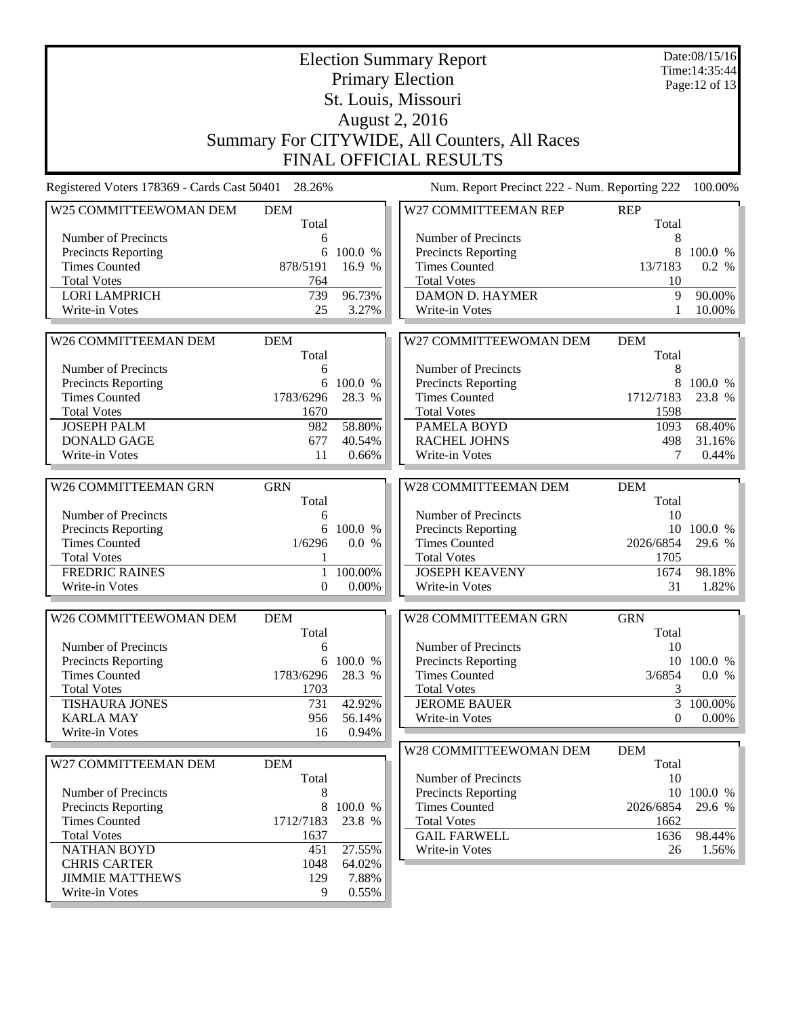|                                             | <b>Election Summary Report</b><br><b>Primary Election</b><br>St. Louis, Missouri<br><b>August 2, 2016</b> |                  |                                                                                |                     |                  |
|---------------------------------------------|-----------------------------------------------------------------------------------------------------------|------------------|--------------------------------------------------------------------------------|---------------------|------------------|
|                                             |                                                                                                           |                  | Summary For CITYWIDE, All Counters, All Races<br><b>FINAL OFFICIAL RESULTS</b> |                     |                  |
| Registered Voters 178369 - Cards Cast 50401 | 28.26%                                                                                                    |                  | Num. Report Precinct 222 - Num. Reporting 222                                  |                     | 100.00%          |
| W25 COMMITTEEWOMAN DEM                      | <b>DEM</b><br>Total                                                                                       |                  | W27 COMMITTEEMAN REP                                                           | <b>REP</b><br>Total |                  |
| Number of Precincts                         | 6                                                                                                         |                  | Number of Precincts                                                            | 8                   |                  |
| <b>Precincts Reporting</b>                  | 6                                                                                                         | 100.0 %          | <b>Precincts Reporting</b>                                                     | 8                   | 100.0 %          |
| <b>Times Counted</b>                        | 878/5191                                                                                                  | 16.9 %           | <b>Times Counted</b>                                                           | 13/7183             | 0.2 %            |
| <b>Total Votes</b>                          | 764<br>739                                                                                                |                  | <b>Total Votes</b>                                                             | 10<br>9             |                  |
| <b>LORI LAMPRICH</b><br>Write-in Votes      | 25                                                                                                        | 96.73%<br>3.27%  | <b>DAMON D. HAYMER</b><br>Write-in Votes                                       |                     | 90.00%<br>10.00% |
|                                             |                                                                                                           |                  |                                                                                |                     |                  |
| W26 COMMITTEEMAN DEM                        | <b>DEM</b><br>Total                                                                                       |                  | W27 COMMITTEEWOMAN DEM                                                         | <b>DEM</b><br>Total |                  |
| Number of Precincts                         | 6                                                                                                         |                  | Number of Precincts                                                            | 8                   |                  |
| <b>Precincts Reporting</b>                  | 6                                                                                                         | 100.0 %          | Precincts Reporting                                                            | 8                   | 100.0 %          |
| <b>Times Counted</b>                        | 1783/6296                                                                                                 | 28.3 %           | <b>Times Counted</b>                                                           | 1712/7183           | 23.8 %           |
| <b>Total Votes</b>                          | 1670                                                                                                      |                  | <b>Total Votes</b>                                                             | 1598                |                  |
| <b>JOSEPH PALM</b>                          | 982                                                                                                       | 58.80%           | PAMELA BOYD                                                                    | 1093                | 68.40%           |
| <b>DONALD GAGE</b><br>Write-in Votes        | 677<br>11                                                                                                 | 40.54%<br>0.66%  | <b>RACHEL JOHNS</b><br>Write-in Votes                                          | 498<br>7            | 31.16%<br>0.44%  |
|                                             |                                                                                                           |                  |                                                                                |                     |                  |
| W26 COMMITTEEMAN GRN                        | <b>GRN</b><br>Total                                                                                       |                  | W28 COMMITTEEMAN DEM                                                           | <b>DEM</b><br>Total |                  |
| Number of Precincts                         | 6                                                                                                         |                  | Number of Precincts                                                            | 10                  |                  |
| Precincts Reporting                         | 6                                                                                                         | 100.0 %          | <b>Precincts Reporting</b>                                                     |                     | 10 100.0 %       |
| <b>Times Counted</b>                        | 1/6296                                                                                                    | 0.0 %            | <b>Times Counted</b>                                                           | 2026/6854           | 29.6 %           |
| <b>Total Votes</b>                          |                                                                                                           |                  | <b>Total Votes</b><br><b>JOSEPH KEAVENY</b>                                    | 1705                |                  |
| <b>FREDRIC RAINES</b><br>Write-in Votes     | 1<br>$\overline{0}$                                                                                       | 100.00%<br>0.00% | Write-in Votes                                                                 | 1674<br>31          | 98.18%<br>1.82%  |
|                                             |                                                                                                           |                  |                                                                                |                     |                  |
| W26 COMMITTEEWOMAN DEM                      | <b>DEM</b>                                                                                                |                  | W28 COMMITTEEMAN GRN                                                           | <b>GRN</b>          |                  |
| Number of Precincts                         | Total<br>6                                                                                                |                  | Number of Precincts                                                            | Total<br>10         |                  |
| <b>Precincts Reporting</b>                  | 6                                                                                                         | 100.0 %          | <b>Precincts Reporting</b>                                                     |                     | 10 100.0 %       |
| <b>Times Counted</b>                        | 1783/6296                                                                                                 | 28.3 %           | <b>Times Counted</b>                                                           | 3/6854              | 0.0 %            |
| <b>Total Votes</b>                          | 1703                                                                                                      |                  | <b>Total Votes</b>                                                             | 3                   |                  |
| <b>TISHAURA JONES</b>                       | 731                                                                                                       | 42.92%           | <b>JEROME BAUER</b>                                                            | $\overline{3}$      | 100.00%          |
| <b>KARLA MAY</b><br>Write-in Votes          | 956<br>16                                                                                                 | 56.14%<br>0.94%  | Write-in Votes                                                                 | $\theta$            | $0.00\%$         |
|                                             |                                                                                                           |                  | W28 COMMITTEEWOMAN DEM                                                         | <b>DEM</b>          |                  |
| W27 COMMITTEEMAN DEM                        | <b>DEM</b>                                                                                                |                  |                                                                                | Total               |                  |
| Number of Precincts                         | Total<br>8                                                                                                |                  | Number of Precincts<br>Precincts Reporting                                     | 10                  | 10 100.0 %       |
| Precincts Reporting                         | 8                                                                                                         | 100.0 %          | <b>Times Counted</b>                                                           | 2026/6854           | 29.6 %           |
| <b>Times Counted</b>                        | 1712/7183                                                                                                 | 23.8 %           | <b>Total Votes</b>                                                             | 1662                |                  |
| <b>Total Votes</b>                          | 1637                                                                                                      |                  | <b>GAIL FARWELL</b>                                                            | 1636                | 98.44%           |
| <b>NATHAN BOYD</b>                          | 451                                                                                                       | 27.55%           | Write-in Votes                                                                 | 26                  | 1.56%            |
| <b>CHRIS CARTER</b>                         | 1048                                                                                                      | 64.02%           |                                                                                |                     |                  |
| <b>JIMMIE MATTHEWS</b><br>Write-in Votes    | 129<br>9                                                                                                  | 7.88%<br>0.55%   |                                                                                |                     |                  |
|                                             |                                                                                                           |                  |                                                                                |                     |                  |